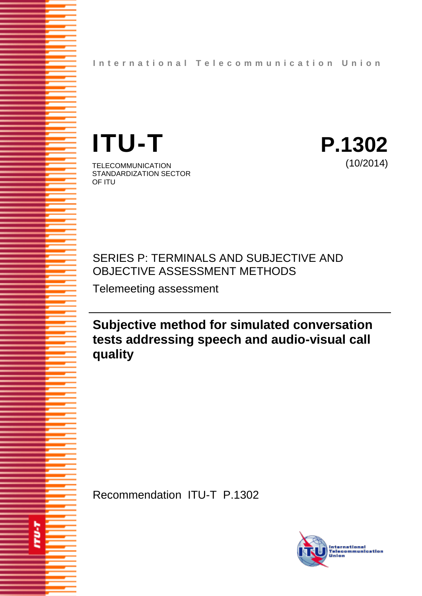# **ITU-T P.1302**

TELECOMMUNICATION STANDARDIZATION SECTOR OF ITU



# SERIES P: TERMINALS AND SUBJECTIVE AND OBJECTIVE ASSESSMENT METHODS

Telemeeting assessment

**Subjective method for simulated conversation tests addressing speech and audio-visual call quality**

Recommendation ITU-T P.1302

**FUT** 

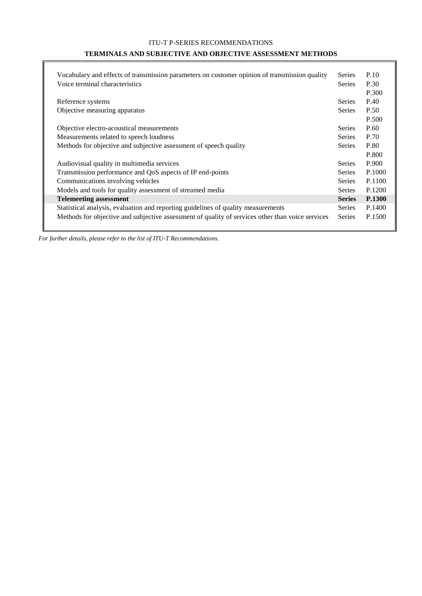#### ITU-T P-SERIES RECOMMENDATIONS

#### **TERMINALS AND SUBJECTIVE AND OBJECTIVE ASSESSMENT METHODS**

| Vocabulary and effects of transmission parameters on customer opinion of transmission quality<br>Voice terminal characteristics | <b>Series</b><br><b>Series</b> | P.10<br>P.30  |
|---------------------------------------------------------------------------------------------------------------------------------|--------------------------------|---------------|
| Reference systems                                                                                                               | <b>Series</b>                  | P.300<br>P.40 |
| Objective measuring apparatus                                                                                                   | <b>Series</b>                  | P.50<br>P.500 |
| Objective electro-acoustical measurements                                                                                       | <b>Series</b>                  | P.60          |
| Measurements related to speech loudness                                                                                         | Series                         | P.70          |
| Methods for objective and subjective assessment of speech quality                                                               | <b>Series</b>                  | P.80          |
|                                                                                                                                 |                                | P.800         |
| Audiovisual quality in multimedia services                                                                                      | <b>Series</b>                  | P.900         |
| Transmission performance and QoS aspects of IP end-points                                                                       | <b>Series</b>                  | P.1000        |
| Communications involving vehicles                                                                                               | <b>Series</b>                  | P.1100        |
| Models and tools for quality assessment of streamed media                                                                       | <b>Series</b>                  | P.1200        |
| <b>Telemeeting assessment</b>                                                                                                   | <b>Series</b>                  | <b>P.1300</b> |
| Statistical analysis, evaluation and reporting guidelines of quality measurements                                               | <b>Series</b>                  | P.1400        |
| Methods for objective and subjective assessment of quality of services other than voice services                                | <b>Series</b>                  | P.1500        |

*For further details, please refer to the list of ITU-T Recommendations.*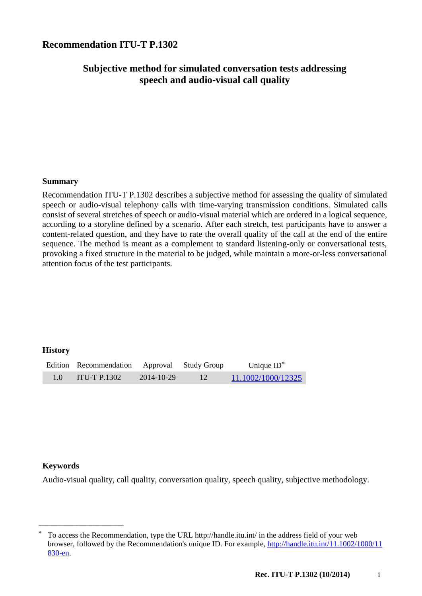# **Recommendation ITU-T P.1302**

# **Subjective method for simulated conversation tests addressing speech and audio-visual call quality**

#### **Summary**

Recommendation ITU-T P.1302 describes a subjective method for assessing the quality of simulated speech or audio-visual telephony calls with time-varying transmission conditions. Simulated calls consist of several stretches of speech or audio-visual material which are ordered in a logical sequence, according to a storyline defined by a scenario. After each stretch, test participants have to answer a content-related question, and they have to rate the overall quality of the call at the end of the entire sequence. The method is meant as a complement to standard listening-only or conversational tests, provoking a fixed structure in the material to be judged, while maintain a more-or-less conversational attention focus of the test participants.

#### **History**

|               | Edition Recommendation Approval Study Group |            | Unique $ID^*$      |
|---------------|---------------------------------------------|------------|--------------------|
| $1.0^{\circ}$ | <b>ITU-T P.1302</b>                         | 2014-10-29 | 11.1002/1000/12325 |

#### **Keywords**

\_\_\_\_\_\_\_\_\_\_\_\_\_\_\_\_\_\_\_\_

Audio-visual quality, call quality, conversation quality, speech quality, subjective methodology.

<sup>\*</sup> To access the Recommendation, type the URL http://handle.itu.int/ in the address field of your web browser, followed by the Recommendation's unique ID. For example, [http://handle.itu.int/11.1002/1000/11](http://handle.itu.int/11.1002/1000/11830-en) [830-en.](http://handle.itu.int/11.1002/1000/11830-en)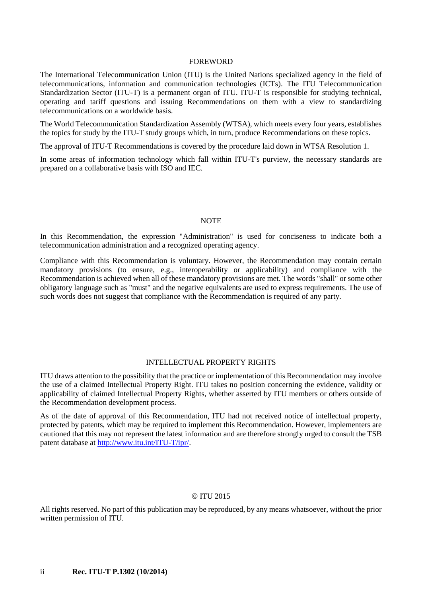#### FOREWORD

The International Telecommunication Union (ITU) is the United Nations specialized agency in the field of telecommunications, information and communication technologies (ICTs). The ITU Telecommunication Standardization Sector (ITU-T) is a permanent organ of ITU. ITU-T is responsible for studying technical, operating and tariff questions and issuing Recommendations on them with a view to standardizing telecommunications on a worldwide basis.

The World Telecommunication Standardization Assembly (WTSA), which meets every four years, establishes the topics for study by the ITU-T study groups which, in turn, produce Recommendations on these topics.

The approval of ITU-T Recommendations is covered by the procedure laid down in WTSA Resolution 1.

In some areas of information technology which fall within ITU-T's purview, the necessary standards are prepared on a collaborative basis with ISO and IEC.

#### **NOTE**

In this Recommendation, the expression "Administration" is used for conciseness to indicate both a telecommunication administration and a recognized operating agency.

Compliance with this Recommendation is voluntary. However, the Recommendation may contain certain mandatory provisions (to ensure, e.g., interoperability or applicability) and compliance with the Recommendation is achieved when all of these mandatory provisions are met. The words "shall" or some other obligatory language such as "must" and the negative equivalents are used to express requirements. The use of such words does not suggest that compliance with the Recommendation is required of any party.

#### INTELLECTUAL PROPERTY RIGHTS

ITU draws attention to the possibility that the practice or implementation of this Recommendation may involve the use of a claimed Intellectual Property Right. ITU takes no position concerning the evidence, validity or applicability of claimed Intellectual Property Rights, whether asserted by ITU members or others outside of the Recommendation development process.

As of the date of approval of this Recommendation, ITU had not received notice of intellectual property, protected by patents, which may be required to implement this Recommendation. However, implementers are cautioned that this may not represent the latest information and are therefore strongly urged to consult the TSB patent database at [http://www.itu.int/ITU-T/ipr/.](http://www.itu.int/ITU-T/ipr/)

#### © ITU 2015

All rights reserved. No part of this publication may be reproduced, by any means whatsoever, without the prior written permission of ITU.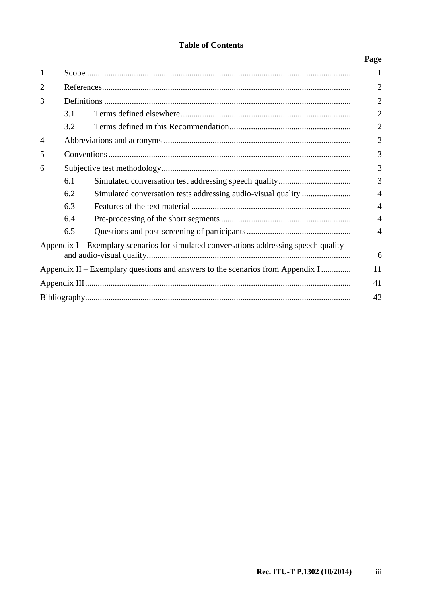# **Table of Contents**

# Page

| $\mathbf{1}$   |     |                                                                                        | 1              |
|----------------|-----|----------------------------------------------------------------------------------------|----------------|
| $\overline{2}$ |     |                                                                                        | $\overline{2}$ |
| 3              |     |                                                                                        | $\overline{2}$ |
|                | 3.1 |                                                                                        | $\overline{2}$ |
|                | 3.2 |                                                                                        | $\overline{2}$ |
| 4              |     |                                                                                        | $\overline{2}$ |
| 5              |     |                                                                                        | 3              |
| 6              |     |                                                                                        | 3              |
|                | 6.1 |                                                                                        | 3              |
|                | 6.2 |                                                                                        | 4              |
|                | 6.3 |                                                                                        | 4              |
|                | 6.4 |                                                                                        | 4              |
|                | 6.5 |                                                                                        | 4              |
|                |     | Appendix I – Exemplary scenarios for simulated conversations addressing speech quality | 6              |
|                |     | Appendix II – Exemplary questions and answers to the scenarios from Appendix I         | 11             |
|                |     |                                                                                        | 41             |
|                |     |                                                                                        | 42             |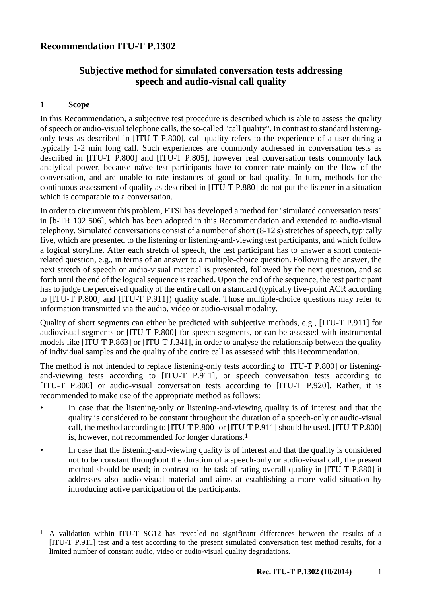# **Recommendation ITU-T P.1302**

# **Subjective method for simulated conversation tests addressing speech and audio-visual call quality**

#### **1 Scope**

\_\_\_\_\_\_\_\_\_\_\_\_\_\_\_\_\_\_\_\_

In this Recommendation, a subjective test procedure is described which is able to assess the quality of speech or audio-visual telephone calls, the so-called "call quality". In contrast to standard listeningonly tests as described in [ITU-T P.800], call quality refers to the experience of a user during a typically 1-2 min long call. Such experiences are commonly addressed in conversation tests as described in [ITU-T P.800] and [ITU-T P.805], however real conversation tests commonly lack analytical power, because naïve test participants have to concentrate mainly on the flow of the conversation, and are unable to rate instances of good or bad quality. In turn, methods for the continuous assessment of quality as described in [ITU-T P.880] do not put the listener in a situation which is comparable to a conversation.

In order to circumvent this problem, ETSI has developed a method for "simulated conversation tests" in [b-TR 102 506], which has been adopted in this Recommendation and extended to audio-visual telephony. Simulated conversations consist of a number of short (8-12 s) stretches of speech, typically five, which are presented to the listening or listening-and-viewing test participants, and which follow a logical storyline. After each stretch of speech, the test participant has to answer a short contentrelated question, e.g., in terms of an answer to a multiple-choice question. Following the answer, the next stretch of speech or audio-visual material is presented, followed by the next question, and so forth until the end of the logical sequence is reached. Upon the end of the sequence, the test participant has to judge the perceived quality of the entire call on a standard (typically five-point ACR according to [ITU-T P.800] and [ITU-T P.911]) quality scale. Those multiple-choice questions may refer to information transmitted via the audio, video or audio-visual modality.

Quality of short segments can either be predicted with subjective methods, e.g., [ITU-T P.911] for audiovisual segments or [ITU-T P.800] for speech segments, or can be assessed with instrumental models like [ITU-T P.863] or [ITU-T J.341], in order to analyse the relationship between the quality of individual samples and the quality of the entire call as assessed with this Recommendation.

The method is not intended to replace listening-only tests according to [ITU-T P.800] or listeningand-viewing tests according to [ITU-T P.911], or speech conversation tests according to [ITU-T P.800] or audio-visual conversation tests according to [ITU-T P.920]. Rather, it is recommended to make use of the appropriate method as follows:

- In case that the listening-only or listening-and-viewing quality is of interest and that the quality is considered to be constant throughout the duration of a speech-only or audio-visual call, the method according to [ITU-T P.800] or [ITU-T P.911] should be used. [ITU-T P.800] is, however, not recommended for longer durations.1
- In case that the listening-and-viewing quality is of interest and that the quality is considered not to be constant throughout the duration of a speech-only or audio-visual call, the present method should be used; in contrast to the task of rating overall quality in [ITU-T P.880] it addresses also audio-visual material and aims at establishing a more valid situation by introducing active participation of the participants.

<sup>&</sup>lt;sup>1</sup> A validation within ITU-T SG12 has revealed no significant differences between the results of a [ITU-T P.911] test and a test according to the present simulated conversation test method results, for a limited number of constant audio, video or audio-visual quality degradations.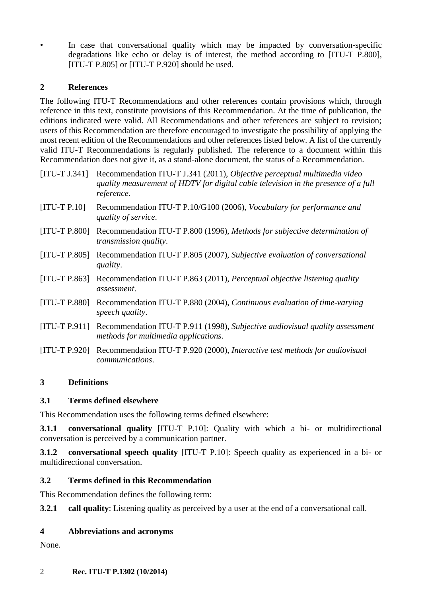• In case that conversational quality which may be impacted by conversation-specific degradations like echo or delay is of interest, the method according to [ITU-T P.800], [ITU-T P.805] or [ITU-T P.920] should be used.

## **2 References**

The following ITU-T Recommendations and other references contain provisions which, through reference in this text, constitute provisions of this Recommendation. At the time of publication, the editions indicated were valid. All Recommendations and other references are subject to revision; users of this Recommendation are therefore encouraged to investigate the possibility of applying the most recent edition of the Recommendations and other references listed below. A list of the currently valid ITU-T Recommendations is regularly published. The reference to a document within this Recommendation does not give it, as a stand-alone document, the status of a Recommendation.

- [ITU-T J.341] Recommendation ITU-T J.341 (2011), *Objective perceptual multimedia video quality measurement of HDTV for digital cable television in the presence of a full reference*.
- [ITU-T P.10] Recommendation ITU-T P.10/G100 (2006), *Vocabulary for performance and quality of service*.
- [ITU-T P.800] Recommendation ITU-T P.800 (1996), *Methods for subjective determination of transmission quality*.
- [ITU-T P.805] Recommendation ITU-T P.805 (2007), *Subjective evaluation of conversational quality*.
- [ITU-T P.863] Recommendation ITU-T P.863 (2011), *Perceptual objective listening quality assessment*.
- [ITU-T P.880] Recommendation ITU-T P.880 (2004), *Continuous evaluation of time-varying speech quality*.
- [ITU-T P.911] Recommendation ITU-T P.911 (1998), *Subjective audiovisual quality assessment methods for multimedia applications*.
- [ITU-T P.920] Recommendation ITU-T P.920 (2000), *Interactive test methods for audiovisual communications*.

#### **3 Definitions**

# **3.1 Terms defined elsewhere**

This Recommendation uses the following terms defined elsewhere:

**3.1.1 conversational quality** [ITU-T P.10]: Quality with which a bi- or multidirectional conversation is perceived by a communication partner.

**3.1.2 conversational speech quality** [ITU-T P.10]: Speech quality as experienced in a bi- or multidirectional conversation.

#### **3.2 Terms defined in this Recommendation**

This Recommendation defines the following term:

**3.2.1 call quality**: Listening quality as perceived by a user at the end of a conversational call.

#### **4 Abbreviations and acronyms**

None.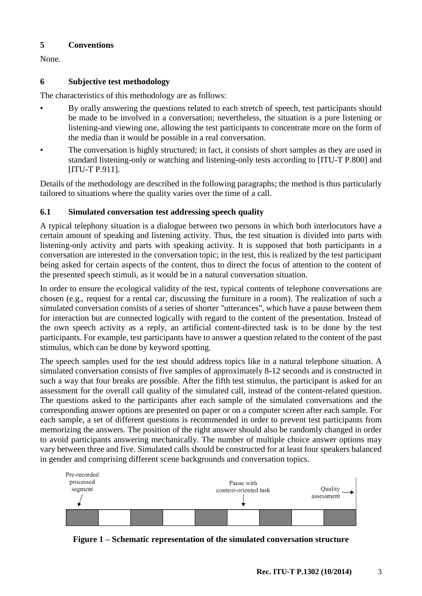#### **5 Conventions**

None.

## **6 Subjective test methodology**

The characteristics of this methodology are as follows:

- By orally answering the questions related to each stretch of speech, test participants should be made to be involved in a conversation; nevertheless, the situation is a pure listening or listening-and viewing one, allowing the test participants to concentrate more on the form of the media than it would be possible in a real conversation.
- The conversation is highly structured; in fact, it consists of short samples as they are used in standard listening-only or watching and listening-only tests according to [ITU-T P.800] and [ITU-T P.911].

Details of the methodology are described in the following paragraphs; the method is thus particularly tailored to situations where the quality varies over the time of a call.

## **6.1 Simulated conversation test addressing speech quality**

A typical telephony situation is a dialogue between two persons in which both interlocutors have a certain amount of speaking and listening activity. Thus, the test situation is divided into parts with listening-only activity and parts with speaking activity. It is supposed that both participants in a conversation are interested in the conversation topic; in the test, this is realized by the test participant being asked for certain aspects of the content, thus to direct the focus of attention to the content of the presented speech stimuli, as it would be in a natural conversation situation.

In order to ensure the ecological validity of the test, typical contents of telephone conversations are chosen (e.g., request for a rental car, discussing the furniture in a room). The realization of such a simulated conversation consists of a series of shorter "utterances", which have a pause between them for interaction but are connected logically with regard to the content of the presentation. Instead of the own speech activity as a reply, an artificial content-directed task is to be done by the test participants. For example, test participants have to answer a question related to the content of the past stimulus, which can be done by keyword spotting.

The speech samples used for the test should address topics like in a natural telephone situation. A simulated conversation consists of five samples of approximately 8-12 seconds and is constructed in such a way that four breaks are possible. After the fifth test stimulus, the participant is asked for an assessment for the overall call quality of the simulated call, instead of the content-related question. The questions asked to the participants after each sample of the simulated conversations and the corresponding answer options are presented on paper or on a computer screen after each sample. For each sample, a set of different questions is recommended in order to prevent test participants from memorizing the answers. The position of the right answer should also be randomly changed in order to avoid participants answering mechanically. The number of multiple choice answer options may vary between three and five. Simulated calls should be constructed for at least four speakers balanced in gender and comprising different scene backgrounds and conversation topics.



**Figure 1 – Schematic representation of the simulated conversation structure**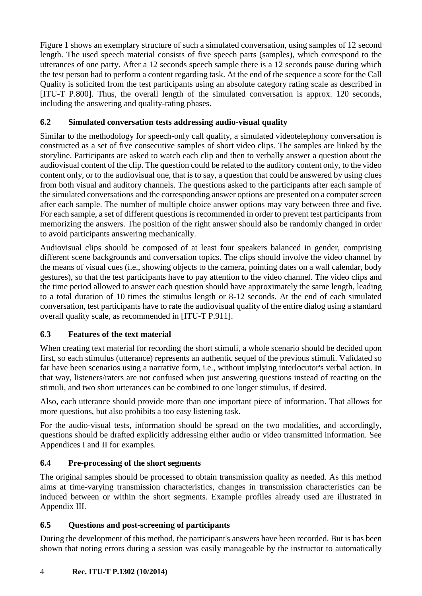Figure 1 shows an exemplary structure of such a simulated conversation, using samples of 12 second length. The used speech material consists of five speech parts (samples), which correspond to the utterances of one party. After a 12 seconds speech sample there is a 12 seconds pause during which the test person had to perform a content regarding task. At the end of the sequence a score for the Call Quality is solicited from the test participants using an absolute category rating scale as described in [ITU-T P.800]. Thus, the overall length of the simulated conversation is approx. 120 seconds, including the answering and quality-rating phases.

# **6.2 Simulated conversation tests addressing audio-visual quality**

Similar to the methodology for speech-only call quality, a simulated videotelephony conversation is constructed as a set of five consecutive samples of short video clips. The samples are linked by the storyline. Participants are asked to watch each clip and then to verbally answer a question about the audiovisual content of the clip. The question could be related to the auditory content only, to the video content only, or to the audiovisual one, that is to say, a question that could be answered by using clues from both visual and auditory channels. The questions asked to the participants after each sample of the simulated conversations and the corresponding answer options are presented on a computer screen after each sample. The number of multiple choice answer options may vary between three and five. For each sample, a set of different questions is recommended in order to prevent test participants from memorizing the answers. The position of the right answer should also be randomly changed in order to avoid participants answering mechanically.

Audiovisual clips should be composed of at least four speakers balanced in gender, comprising different scene backgrounds and conversation topics. The clips should involve the video channel by the means of visual cues (i.e., showing objects to the camera, pointing dates on a wall calendar, body gestures), so that the test participants have to pay attention to the video channel. The video clips and the time period allowed to answer each question should have approximately the same length, leading to a total duration of 10 times the stimulus length or 8-12 seconds. At the end of each simulated conversation, test participants have to rate the audiovisual quality of the entire dialog using a standard overall quality scale, as recommended in [ITU-T P.911].

# **6.3 Features of the text material**

When creating text material for recording the short stimuli, a whole scenario should be decided upon first, so each stimulus (utterance) represents an authentic sequel of the previous stimuli. Validated so far have been scenarios using a narrative form, i.e., without implying interlocutor's verbal action. In that way, listeners/raters are not confused when just answering questions instead of reacting on the stimuli, and two short utterances can be combined to one longer stimulus, if desired.

Also, each utterance should provide more than one important piece of information. That allows for more questions, but also prohibits a too easy listening task.

For the audio-visual tests, information should be spread on the two modalities, and accordingly, questions should be drafted explicitly addressing either audio or video transmitted information. See Appendices I and II for examples.

# **6.4 Pre-processing of the short segments**

The original samples should be processed to obtain transmission quality as needed. As this method aims at time-varying transmission characteristics, changes in transmission characteristics can be induced between or within the short segments. Example profiles already used are illustrated in Appendix III.

# **6.5 Questions and post-screening of participants**

During the development of this method, the participant's answers have been recorded. But is has been shown that noting errors during a session was easily manageable by the instructor to automatically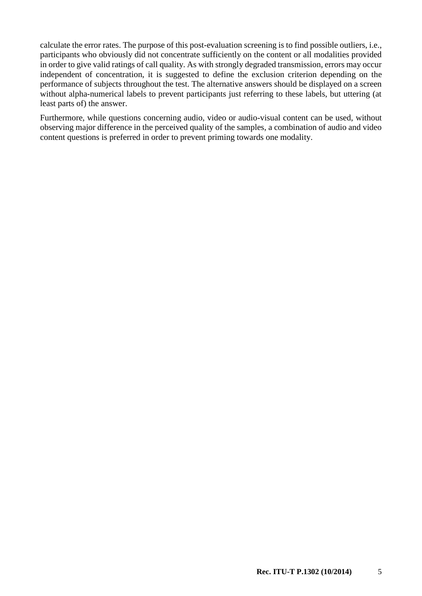calculate the error rates. The purpose of this post-evaluation screening is to find possible outliers, i.e., participants who obviously did not concentrate sufficiently on the content or all modalities provided in order to give valid ratings of call quality. As with strongly degraded transmission, errors may occur independent of concentration, it is suggested to define the exclusion criterion depending on the performance of subjects throughout the test. The alternative answers should be displayed on a screen without alpha-numerical labels to prevent participants just referring to these labels, but uttering (at least parts of) the answer.

Furthermore, while questions concerning audio, video or audio-visual content can be used, without observing major difference in the perceived quality of the samples, a combination of audio and video content questions is preferred in order to prevent priming towards one modality.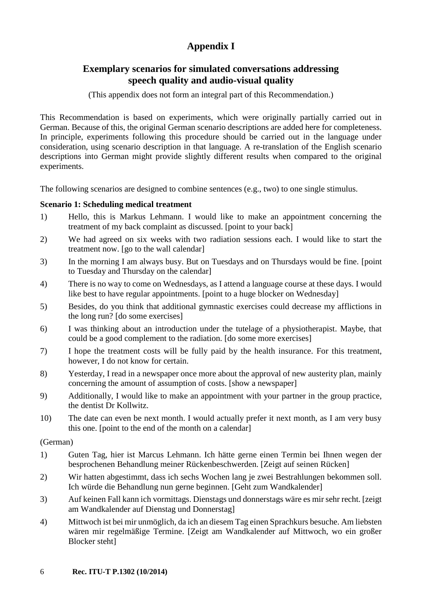# **Appendix I**

# **Exemplary scenarios for simulated conversations addressing speech quality and audio-visual quality**

(This appendix does not form an integral part of this Recommendation.)

This Recommendation is based on experiments, which were originally partially carried out in German. Because of this, the original German scenario descriptions are added here for completeness. In principle, experiments following this procedure should be carried out in the language under consideration, using scenario description in that language. A re-translation of the English scenario descriptions into German might provide slightly different results when compared to the original experiments.

The following scenarios are designed to combine sentences (e.g., two) to one single stimulus.

## **Scenario 1: Scheduling medical treatment**

- 1) Hello, this is Markus Lehmann. I would like to make an appointment concerning the treatment of my back complaint as discussed. [point to your back]
- 2) We had agreed on six weeks with two radiation sessions each. I would like to start the treatment now. [go to the wall calendar]
- 3) In the morning I am always busy. But on Tuesdays and on Thursdays would be fine. [point to Tuesday and Thursday on the calendar]
- 4) There is no way to come on Wednesdays, as I attend a language course at these days. I would like best to have regular appointments. [point to a huge blocker on Wednesday]
- 5) Besides, do you think that additional gymnastic exercises could decrease my afflictions in the long run? [do some exercises]
- 6) I was thinking about an introduction under the tutelage of a physiotherapist. Maybe, that could be a good complement to the radiation. [do some more exercises]
- 7) I hope the treatment costs will be fully paid by the health insurance. For this treatment, however, I do not know for certain.
- 8) Yesterday, I read in a newspaper once more about the approval of new austerity plan, mainly concerning the amount of assumption of costs. [show a newspaper]
- 9) Additionally, I would like to make an appointment with your partner in the group practice, the dentist Dr Kollwitz.
- 10) The date can even be next month. I would actually prefer it next month, as I am very busy this one. [point to the end of the month on a calendar]

- 1) Guten Tag, hier ist Marcus Lehmann. Ich hätte gerne einen Termin bei Ihnen wegen der besprochenen Behandlung meiner Rückenbeschwerden. [Zeigt auf seinen Rücken]
- 2) Wir hatten abgestimmt, dass ich sechs Wochen lang je zwei Bestrahlungen bekommen soll. Ich würde die Behandlung nun gerne beginnen. [Geht zum Wandkalender]
- 3) Auf keinen Fall kann ich vormittags. Dienstags und donnerstags wäre es mir sehr recht. [zeigt am Wandkalender auf Dienstag und Donnerstag]
- 4) Mittwoch ist bei mir unmöglich, da ich an diesem Tag einen Sprachkurs besuche. Am liebsten wären mir regelmäßige Termine. [Zeigt am Wandkalender auf Mittwoch, wo ein großer Blocker steht]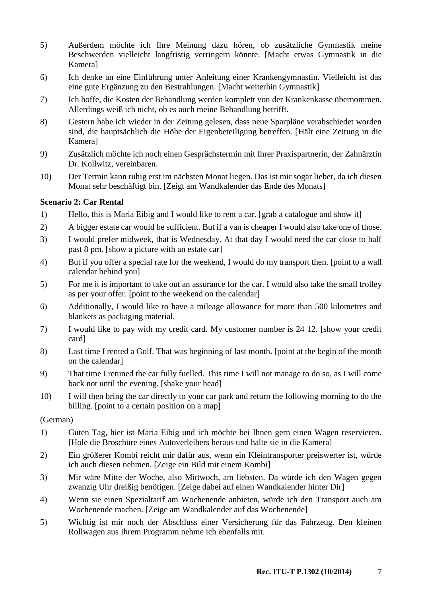- 5) Außerdem möchte ich Ihre Meinung dazu hören, ob zusätzliche Gymnastik meine Beschwerden vielleicht langfristig verringern könnte. [Macht etwas Gymnastik in die Kamera]
- 6) Ich denke an eine Einführung unter Anleitung einer Krankengymnastin. Vielleicht ist das eine gute Ergänzung zu den Bestrahlungen. [Macht weiterhin Gymnastik]
- 7) Ich hoffe, die Kosten der Behandlung werden komplett von der Krankenkasse übernommen. Allerdings weiß ich nicht, ob es auch meine Behandlung betrifft.
- 8) Gestern habe ich wieder in der Zeitung gelesen, dass neue Sparpläne verabschiedet worden sind, die hauptsächlich die Höhe der Eigenbeteiligung betreffen. [Hält eine Zeitung in die Kamera]
- 9) Zusätzlich möchte ich noch einen Gesprächstermin mit Ihrer Praxispartnerin, der Zahnärztin Dr. Kollwitz, vereinbaren.
- 10) Der Termin kann ruhig erst im nächsten Monat liegen. Das ist mir sogar lieber, da ich diesen Monat sehr beschäftigt bin. [Zeigt am Wandkalender das Ende des Monats]

#### **Scenario 2: Car Rental**

- 1) Hello, this is Maria Eibig and I would like to rent a car. [grab a catalogue and show it]
- 2) A bigger estate car would be sufficient. But if a van is cheaper I would also take one of those.
- 3) I would prefer midweek, that is Wednesday. At that day I would need the car close to half past 8 pm. [show a picture with an estate car]
- 4) But if you offer a special rate for the weekend, I would do my transport then. [point to a wall calendar behind you]
- 5) For me it is important to take out an assurance for the car. I would also take the small trolley as per your offer. [point to the weekend on the calendar]
- 6) Additionally, I would like to have a mileage allowance for more than 500 kilometres and blankets as packaging material.
- 7) I would like to pay with my credit card. My customer number is 24 12. [show your credit card]
- 8) Last time I rented a Golf. That was beginning of last month. [point at the begin of the month on the calendar]
- 9) That time I retuned the car fully fuelled. This time I will not manage to do so, as I will come back not until the evening. [shake your head]
- 10) I will then bring the car directly to your car park and return the following morning to do the billing. [point to a certain position on a map]

- 1) Guten Tag, hier ist Maria Eibig und ich möchte bei Ihnen gern einen Wagen reservieren. [Hole die Broschüre eines Autoverleihers heraus und halte sie in die Kamera]
- 2) Ein größerer Kombi reicht mir dafür aus, wenn ein Kleintransporter preiswerter ist, würde ich auch diesen nehmen. [Zeige ein Bild mit einem Kombi]
- 3) Mir wäre Mitte der Woche, also Mittwoch, am liebsten. Da würde ich den Wagen gegen zwanzig Uhr dreißig benötigen. [Zeige dabei auf einen Wandkalender hinter Dir]
- 4) Wenn sie einen Spezialtarif am Wochenende anbieten, würde ich den Transport auch am Wochenende machen. [Zeige am Wandkalender auf das Wochenende]
- 5) Wichtig ist mir noch der Abschluss einer Versicherung für das Fahrzeug. Den kleinen Rollwagen aus Ihrem Programm nehme ich ebenfalls mit.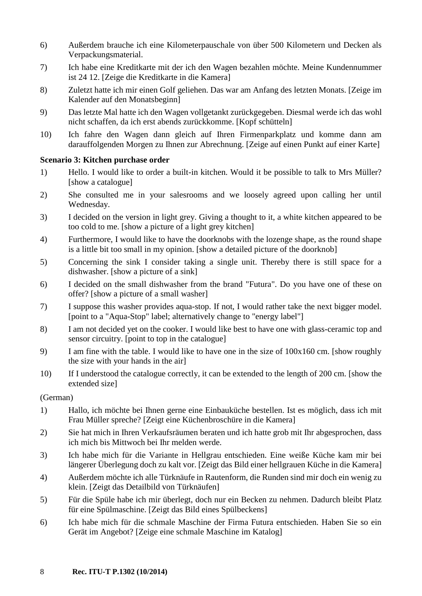- 6) Außerdem brauche ich eine Kilometerpauschale von über 500 Kilometern und Decken als Verpackungsmaterial.
- 7) Ich habe eine Kreditkarte mit der ich den Wagen bezahlen möchte. Meine Kundennummer ist 24 12. [Zeige die Kreditkarte in die Kamera]
- 8) Zuletzt hatte ich mir einen Golf geliehen. Das war am Anfang des letzten Monats. [Zeige im Kalender auf den Monatsbeginn]
- 9) Das letzte Mal hatte ich den Wagen vollgetankt zurückgegeben. Diesmal werde ich das wohl nicht schaffen, da ich erst abends zurückkomme. [Kopf schütteln]
- 10) Ich fahre den Wagen dann gleich auf Ihren Firmenparkplatz und komme dann am darauffolgenden Morgen zu Ihnen zur Abrechnung. [Zeige auf einen Punkt auf einer Karte]

#### **Scenario 3: Kitchen purchase order**

- 1) Hello. I would like to order a built-in kitchen. Would it be possible to talk to Mrs Müller? [show a catalogue]
- 2) She consulted me in your salesrooms and we loosely agreed upon calling her until Wednesday.
- 3) I decided on the version in light grey. Giving a thought to it, a white kitchen appeared to be too cold to me. [show a picture of a light grey kitchen]
- 4) Furthermore, I would like to have the doorknobs with the lozenge shape, as the round shape is a little bit too small in my opinion. [show a detailed picture of the doorknob]
- 5) Concerning the sink I consider taking a single unit. Thereby there is still space for a dishwasher. [show a picture of a sink]
- 6) I decided on the small dishwasher from the brand "Futura". Do you have one of these on offer? [show a picture of a small washer]
- 7) I suppose this washer provides aqua-stop. If not, I would rather take the next bigger model. [point to a "Aqua-Stop" label; alternatively change to "energy label"]
- 8) I am not decided yet on the cooker. I would like best to have one with glass-ceramic top and sensor circuitry. [point to top in the catalogue]
- 9) I am fine with the table. I would like to have one in the size of 100x160 cm. [show roughly the size with your hands in the air]
- 10) If I understood the catalogue correctly, it can be extended to the length of 200 cm. [show the extended size]

- 1) Hallo, ich möchte bei Ihnen gerne eine Einbauküche bestellen. Ist es möglich, dass ich mit Frau Müller spreche? [Zeigt eine Küchenbroschüre in die Kamera]
- 2) Sie hat mich in Ihren Verkaufsräumen beraten und ich hatte grob mit Ihr abgesprochen, dass ich mich bis Mittwoch bei Ihr melden werde.
- 3) Ich habe mich für die Variante in Hellgrau entschieden. Eine weiße Küche kam mir bei längerer Überlegung doch zu kalt vor. [Zeigt das Bild einer hellgrauen Küche in die Kamera]
- 4) Außerdem möchte ich alle Türknäufe in Rautenform, die Runden sind mir doch ein wenig zu klein. [Zeigt das Detailbild von Türknäufen]
- 5) Für die Spüle habe ich mir überlegt, doch nur ein Becken zu nehmen. Dadurch bleibt Platz für eine Spülmaschine. [Zeigt das Bild eines Spülbeckens]
- 6) Ich habe mich für die schmale Maschine der Firma Futura entschieden. Haben Sie so ein Gerät im Angebot? [Zeige eine schmale Maschine im Katalog]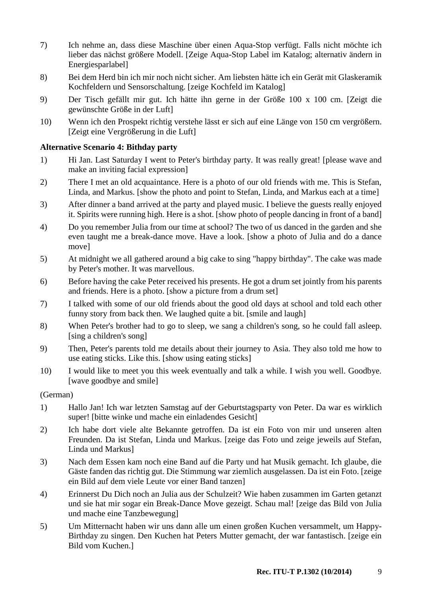- 7) Ich nehme an, dass diese Maschine über einen Aqua-Stop verfügt. Falls nicht möchte ich lieber das nächst größere Modell. [Zeige Aqua-Stop Label im Katalog; alternativ ändern in Energiesparlabel]
- 8) Bei dem Herd bin ich mir noch nicht sicher. Am liebsten hätte ich ein Gerät mit Glaskeramik Kochfeldern und Sensorschaltung. [zeige Kochfeld im Katalog]
- 9) Der Tisch gefällt mir gut. Ich hätte ihn gerne in der Größe 100 x 100 cm. [Zeigt die gewünschte Größe in der Luft]
- 10) Wenn ich den Prospekt richtig verstehe lässt er sich auf eine Länge von 150 cm vergrößern. [Zeigt eine Vergrößerung in die Luft]

#### **Alternative Scenario 4: Bithday party**

- 1) Hi Jan. Last Saturday I went to Peter's birthday party. It was really great! [please wave and make an inviting facial expression]
- 2) There I met an old acquaintance. Here is a photo of our old friends with me. This is Stefan, Linda, and Markus. [show the photo and point to Stefan, Linda, and Markus each at a time]
- 3) After dinner a band arrived at the party and played music. I believe the guests really enjoyed it. Spirits were running high. Here is a shot. [show photo of people dancing in front of a band]
- 4) Do you remember Julia from our time at school? The two of us danced in the garden and she even taught me a break-dance move. Have a look. [show a photo of Julia and do a dance move]
- 5) At midnight we all gathered around a big cake to sing "happy birthday". The cake was made by Peter's mother. It was marvellous.
- 6) Before having the cake Peter received his presents. He got a drum set jointly from his parents and friends. Here is a photo. [show a picture from a drum set]
- 7) I talked with some of our old friends about the good old days at school and told each other funny story from back then. We laughed quite a bit. [smile and laugh]
- 8) When Peter's brother had to go to sleep, we sang a children's song, so he could fall asleep. [sing a children's song]
- 9) Then, Peter's parents told me details about their journey to Asia. They also told me how to use eating sticks. Like this. [show using eating sticks]
- 10) I would like to meet you this week eventually and talk a while. I wish you well. Goodbye. [wave goodbye and smile]

- 1) Hallo Jan! Ich war letzten Samstag auf der Geburtstagsparty von Peter. Da war es wirklich super! [bitte winke und mache ein einladendes Gesicht]
- 2) Ich habe dort viele alte Bekannte getroffen. Da ist ein Foto von mir und unseren alten Freunden. Da ist Stefan, Linda und Markus. [zeige das Foto und zeige jeweils auf Stefan, Linda und Markus]
- 3) Nach dem Essen kam noch eine Band auf die Party und hat Musik gemacht. Ich glaube, die Gäste fanden das richtig gut. Die Stimmung war ziemlich ausgelassen. Da ist ein Foto. [zeige ein Bild auf dem viele Leute vor einer Band tanzen]
- 4) Erinnerst Du Dich noch an Julia aus der Schulzeit? Wie haben zusammen im Garten getanzt und sie hat mir sogar ein Break-Dance Move gezeigt. Schau mal! [zeige das Bild von Julia und mache eine Tanzbewegung]
- 5) Um Mitternacht haben wir uns dann alle um einen großen Kuchen versammelt, um Happy-Birthday zu singen. Den Kuchen hat Peters Mutter gemacht, der war fantastisch. [zeige ein Bild vom Kuchen.]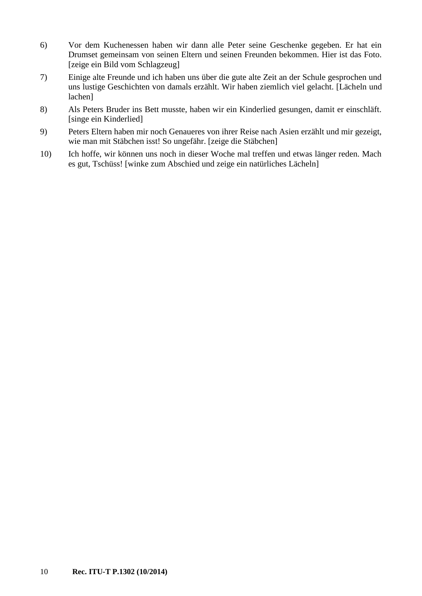- 6) Vor dem Kuchenessen haben wir dann alle Peter seine Geschenke gegeben. Er hat ein Drumset gemeinsam von seinen Eltern und seinen Freunden bekommen. Hier ist das Foto. [zeige ein Bild vom Schlagzeug]
- 7) Einige alte Freunde und ich haben uns über die gute alte Zeit an der Schule gesprochen und uns lustige Geschichten von damals erzählt. Wir haben ziemlich viel gelacht. [Lächeln und lachen]
- 8) Als Peters Bruder ins Bett musste, haben wir ein Kinderlied gesungen, damit er einschläft. [singe ein Kinderlied]
- 9) Peters Eltern haben mir noch Genaueres von ihrer Reise nach Asien erzählt und mir gezeigt, wie man mit Stäbchen isst! So ungefähr. [zeige die Stäbchen]
- 10) Ich hoffe, wir können uns noch in dieser Woche mal treffen und etwas länger reden. Mach es gut, Tschüss! [winke zum Abschied und zeige ein natürliches Lächeln]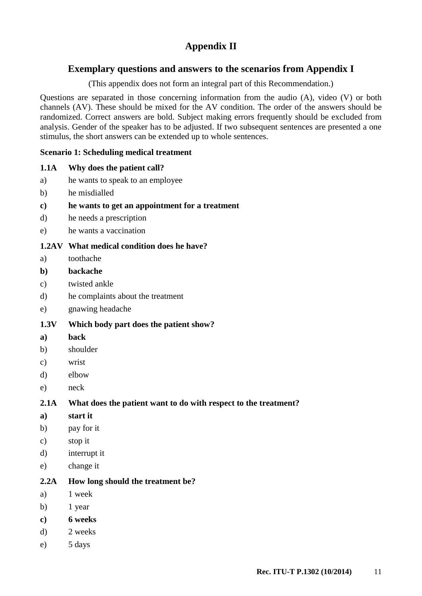# **Appendix II**

# **Exemplary questions and answers to the scenarios from Appendix I**

(This appendix does not form an integral part of this Recommendation.)

Questions are separated in those concerning information from the audio (A), video (V) or both channels (AV). These should be mixed for the AV condition. The order of the answers should be randomized. Correct answers are bold. Subject making errors frequently should be excluded from analysis. Gender of the speaker has to be adjusted. If two subsequent sentences are presented a one stimulus, the short answers can be extended up to whole sentences.

## **Scenario 1: Scheduling medical treatment**

- **1.1A Why does the patient call?**
- a) he wants to speak to an employee
- b) he misdialled
- **c) he wants to get an appointment for a treatment**
- d) he needs a prescription
- e) he wants a vaccination

## **1.2AV What medical condition does he have?**

- a) toothache
- **b) backache**
- c) twisted ankle
- d) he complaints about the treatment
- e) gnawing headache

#### **1.3V Which body part does the patient show?**

- **a) back**
- b) shoulder
- c) wrist
- d) elbow
- e) neck

# **2.1A What does the patient want to do with respect to the treatment?**

- **a) start it**
- b) pay for it
- c) stop it
- d) interrupt it
- e) change it

#### **2.2A How long should the treatment be?**

- a) 1 week
- b) 1 year
- **c) 6 weeks**
- d) 2 weeks
- e) 5 days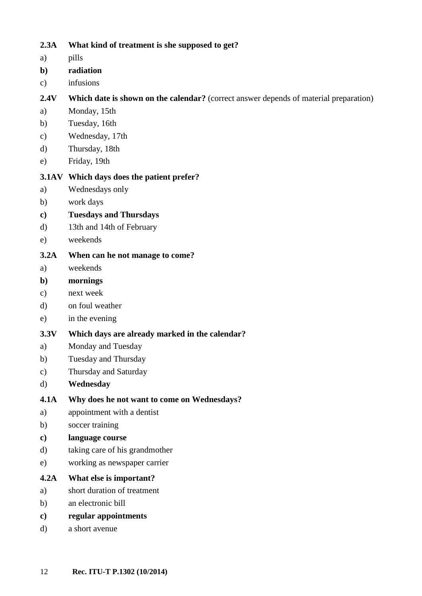- **2.3A What kind of treatment is she supposed to get?**
- a) pills
- **b) radiation**
- c) infusions

#### **2.4V Which date is shown on the calendar?** (correct answer depends of material preparation)

- a) Monday, 15th
- b) Tuesday, 16th
- c) Wednesday, 17th
- d) Thursday, 18th
- e) Friday, 19th

#### **3.1AV Which days does the patient prefer?**

- a) Wednesdays only
- b) work days
- **c) Tuesdays and Thursdays**
- d) 13th and 14th of February
- e) weekends

#### **3.2A When can he not manage to come?**

- a) weekends
- **b) mornings**
- c) next week
- d) on foul weather
- e) in the evening

#### **3.3V Which days are already marked in the calendar?**

- a) Monday and Tuesday
- b) Tuesday and Thursday
- c) Thursday and Saturday
- d) **Wednesday**

#### **4.1A Why does he not want to come on Wednesdays?**

- a) appointment with a dentist
- b) soccer training
- **c) language course**
- d) taking care of his grandmother
- e) working as newspaper carrier

#### **4.2A What else is important?**

- a) short duration of treatment
- b) an electronic bill
- **c) regular appointments**
- d) a short avenue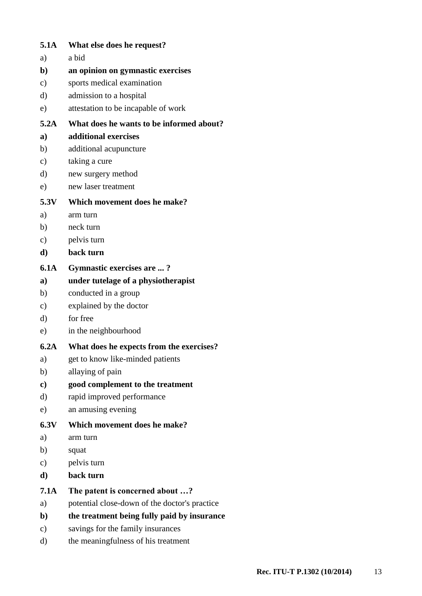| 5.1A          | What else does he request?                    |
|---------------|-----------------------------------------------|
| a)            | a bid                                         |
| $\mathbf{b}$  | an opinion on gymnastic exercises             |
| $\mathbf{c})$ | sports medical examination                    |
| d)            | admission to a hospital                       |
| e)            | attestation to be incapable of work           |
| 5.2A          | What does he wants to be informed about?      |
| $\mathbf{a}$  | additional exercises                          |
| b)            | additional acupuncture                        |
| $\mathbf{c})$ | taking a cure                                 |
| d)            | new surgery method                            |
| e)            | new laser treatment                           |
| 5.3V          | Which movement does he make?                  |
| a)            | arm turn                                      |
| b)            | neck turn                                     |
| $\mathbf{c})$ | pelvis turn                                   |
| d)            | back turn                                     |
| <b>6.1A</b>   | Gymnastic exercises are ?                     |
| a)            | under tutelage of a physiotherapist           |
| b)            | conducted in a group                          |
| $\mathbf{c})$ | explained by the doctor                       |
| d)            | for free                                      |
| e)            | in the neighbourhood                          |
| 6.2A          | What does he expects from the exercises?      |
| a)            | get to know like-minded patients              |
| b)            | allaying of pain                              |
| $\mathbf{c})$ | good complement to the treatment              |
| d)            | rapid improved performance                    |
| e)            | an amusing evening                            |
| 6.3V          | Which movement does he make?                  |
| a)            | arm turn                                      |
| b)            | squat                                         |
| $\mathbf{c})$ | pelvis turn                                   |
| d)            | back turn                                     |
| 7.1A          | The patent is concerned about ?               |
| a)            | potential close-down of the doctor's practice |
| $\mathbf{b}$  | the treatment being fully paid by insurance   |
| $\mathbf{c})$ | savings for the family insurances             |
| d)            | the meaningfulness of his treatment           |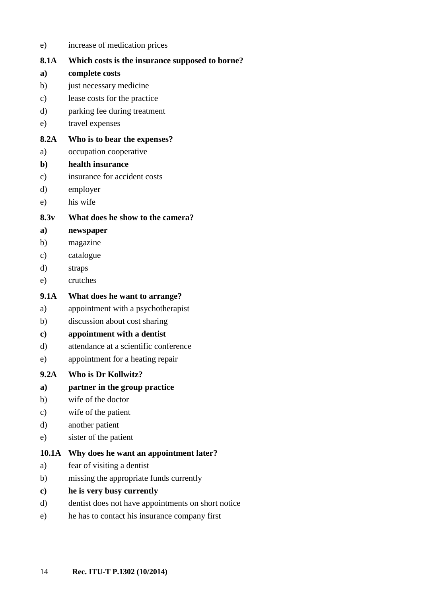| e)            | increase of medication prices                      |
|---------------|----------------------------------------------------|
| <b>8.1A</b>   | Which costs is the insurance supposed to borne?    |
| a)            | complete costs                                     |
| b)            | just necessary medicine                            |
| c)            | lease costs for the practice                       |
| d)            | parking fee during treatment                       |
| e)            | travel expenses                                    |
| 8.2A          | Who is to bear the expenses?                       |
| a)            | occupation cooperative                             |
| $\mathbf{b}$  | health insurance                                   |
| c)            | insurance for accident costs                       |
| d)            | employer                                           |
| e)            | his wife                                           |
| 8.3v          | What does he show to the camera?                   |
| a)            | newspaper                                          |
| b)            | magazine                                           |
| c)            | catalogue                                          |
| d)            | straps                                             |
| e)            | crutches                                           |
| 9.1A          | What does he want to arrange?                      |
|               |                                                    |
| a)            | appointment with a psychotherapist                 |
| b)            | discussion about cost sharing                      |
| c)            | appointment with a dentist                         |
| d)            | attendance at a scientific conference              |
| e)            | appointment for a heating repair                   |
| 9.2A          | Who is Dr Kollwitz?                                |
| a)            | partner in the group practice                      |
| b)            | wife of the doctor                                 |
| c)            | wife of the patient                                |
| d)            | another patient                                    |
| e)            | sister of the patient                              |
|               | 10.1A Why does he want an appointment later?       |
| a)            | fear of visiting a dentist                         |
| b)            | missing the appropriate funds currently            |
| $\mathbf{c})$ | he is very busy currently                          |
| d)            | dentist does not have appointments on short notice |
| e)            | he has to contact his insurance company first      |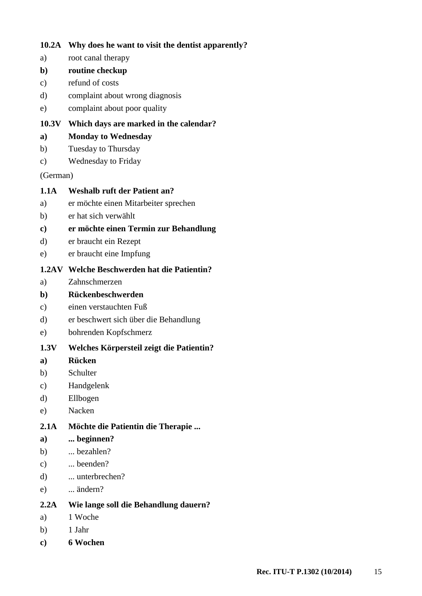## **10.2A Why does he want to visit the dentist apparently?**

- a) root canal therapy
- **b) routine checkup**
- c) refund of costs
- d) complaint about wrong diagnosis
- e) complaint about poor quality

## **10.3V Which days are marked in the calendar?**

#### **a) Monday to Wednesday**

- b) Tuesday to Thursday
- c) Wednesday to Friday

#### (German)

# **1.1A Weshalb ruft der Patient an?**

- a) er möchte einen Mitarbeiter sprechen
- b) er hat sich verwählt
- **c) er möchte einen Termin zur Behandlung**
- d) er braucht ein Rezept
- e) er braucht eine Impfung

# **1.2AV Welche Beschwerden hat die Patientin?**

- a) Zahnschmerzen
- **b) Rückenbeschwerden**
- c) einen verstauchten Fuß
- d) er beschwert sich über die Behandlung
- e) bohrenden Kopfschmerz

#### **1.3V Welches Körpersteil zeigt die Patientin?**

- **a) Rücken**
- b) Schulter
- c) Handgelenk
- d) Ellbogen
- e) Nacken

# **2.1A Möchte die Patientin die Therapie ...**

- **a) ... beginnen?**
- b) ... bezahlen?
- c) ... beenden?
- d) ... unterbrechen?
- e) ... ändern?

# **2.2A Wie lange soll die Behandlung dauern?**

- a) 1 Woche
- b) 1 Jahr
- **c) 6 Wochen**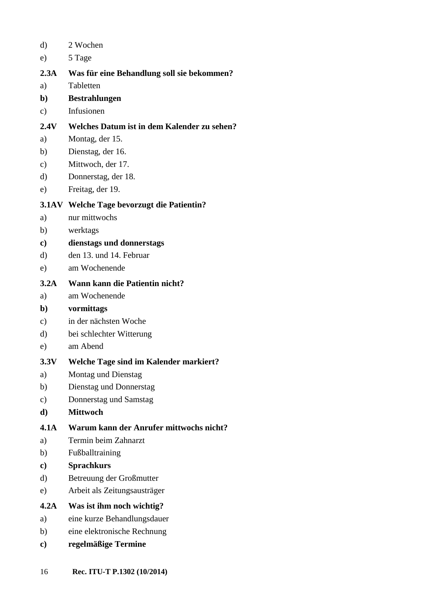- d) 2 Wochen
- e) 5 Tage
- **2.3A Was für eine Behandlung soll sie bekommen?**
- a) Tabletten
- **b) Bestrahlungen**
- c) Infusionen

#### **2.4V Welches Datum ist in dem Kalender zu sehen?**

- a) Montag, der 15.
- b) Dienstag, der 16.
- c) Mittwoch, der 17.
- d) Donnerstag, der 18.
- e) Freitag, der 19.

## **3.1AV Welche Tage bevorzugt die Patientin?**

- a) nur mittwochs
- b) werktags
- **c) dienstags und donnerstags**
- d) den 13. und 14. Februar
- e) am Wochenende

## **3.2A Wann kann die Patientin nicht?**

- a) am Wochenende
- **b) vormittags**
- c) in der nächsten Woche
- d) bei schlechter Witterung
- e) am Abend

#### **3.3V Welche Tage sind im Kalender markiert?**

- a) Montag und Dienstag
- b) Dienstag und Donnerstag
- c) Donnerstag und Samstag
- **d) Mittwoch**

# **4.1A Warum kann der Anrufer mittwochs nicht?**

- a) Termin beim Zahnarzt
- b) Fußballtraining
- **c) Sprachkurs**
- d) Betreuung der Großmutter
- e) Arbeit als Zeitungsausträger

# **4.2A Was ist ihm noch wichtig?**

- a) eine kurze Behandlungsdauer
- b) eine elektronische Rechnung
- **c) regelmäßige Termine**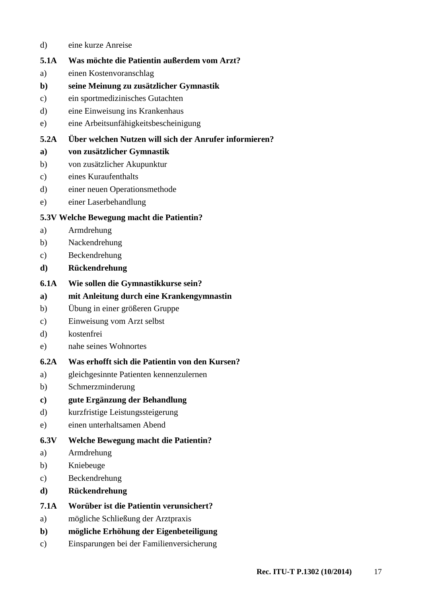- d) eine kurze Anreise
- **5.1A Was möchte die Patientin außerdem vom Arzt?**
- a) einen Kostenvoranschlag
- **b) seine Meinung zu zusätzlicher Gymnastik**
- c) ein sportmedizinisches Gutachten
- d) eine Einweisung ins Krankenhaus
- e) eine Arbeitsunfähigkeitsbescheinigung

#### **5.2A Über welchen Nutzen will sich der Anrufer informieren?**

#### **a) von zusätzlicher Gymnastik**

- b) von zusätzlicher Akupunktur
- c) eines Kuraufenthalts
- d) einer neuen Operationsmethode
- e) einer Laserbehandlung

#### **5.3V Welche Bewegung macht die Patientin?**

- a) Armdrehung
- b) Nackendrehung
- c) Beckendrehung
- **d) Rückendrehung**
- **6.1A Wie sollen die Gymnastikkurse sein?**
- **a) mit Anleitung durch eine Krankengymnastin**
- b) Übung in einer größeren Gruppe
- c) Einweisung vom Arzt selbst
- d) kostenfrei
- e) nahe seines Wohnortes

#### **6.2A Was erhofft sich die Patientin von den Kursen?**

- a) gleichgesinnte Patienten kennenzulernen
- b) Schmerzminderung

#### **c) gute Ergänzung der Behandlung**

- d) kurzfristige Leistungssteigerung
- e) einen unterhaltsamen Abend

#### **6.3V Welche Bewegung macht die Patientin?**

- a) Armdrehung
- b) Kniebeuge
- c) Beckendrehung
- **d) Rückendrehung**

#### **7.1A Worüber ist die Patientin verunsichert?**

- a) mögliche Schließung der Arztpraxis
- **b) mögliche Erhöhung der Eigenbeteiligung**
- c) Einsparungen bei der Familienversicherung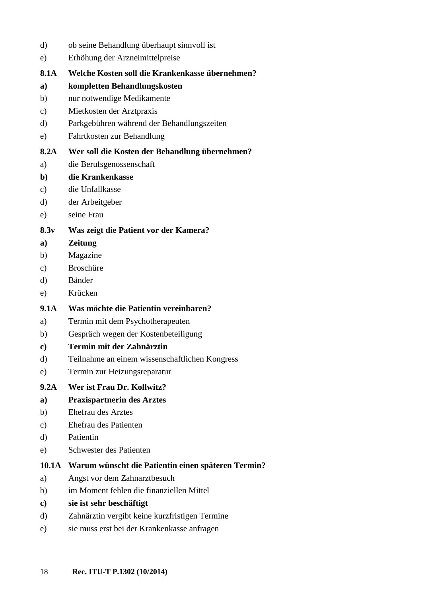- d) ob seine Behandlung überhaupt sinnvoll ist
- e) Erhöhung der Arzneimittelpreise

#### **8.1A Welche Kosten soll die Krankenkasse übernehmen?**

#### **a) kompletten Behandlungskosten**

- b) nur notwendige Medikamente
- c) Mietkosten der Arztpraxis
- d) Parkgebühren während der Behandlungszeiten
- e) Fahrtkosten zur Behandlung

#### **8.2A Wer soll die Kosten der Behandlung übernehmen?**

- a) die Berufsgenossenschaft
- **b) die Krankenkasse**
- c) die Unfallkasse
- d) der Arbeitgeber
- e) seine Frau

#### **8.3v Was zeigt die Patient vor der Kamera?**

- **a) Zeitung**
- b) Magazine
- c) Broschüre
- d) Bänder
- e) Krücken

#### **9.1A Was möchte die Patientin vereinbaren?**

- a) Termin mit dem Psychotherapeuten
- b) Gespräch wegen der Kostenbeteiligung

#### **c) Termin mit der Zahnärztin**

- d) Teilnahme an einem wissenschaftlichen Kongress
- e) Termin zur Heizungsreparatur

#### **9.2A Wer ist Frau Dr. Kollwitz?**

#### **a) Praxispartnerin des Arztes**

- b) Ehefrau des Arztes
- c) Ehefrau des Patienten
- d) Patientin
- e) Schwester des Patienten

#### **10.1A Warum wünscht die Patientin einen späteren Termin?**

- a) Angst vor dem Zahnarztbesuch
- b) im Moment fehlen die finanziellen Mittel
- **c) sie ist sehr beschäftigt**
- d) Zahnärztin vergibt keine kurzfristigen Termine
- e) sie muss erst bei der Krankenkasse anfragen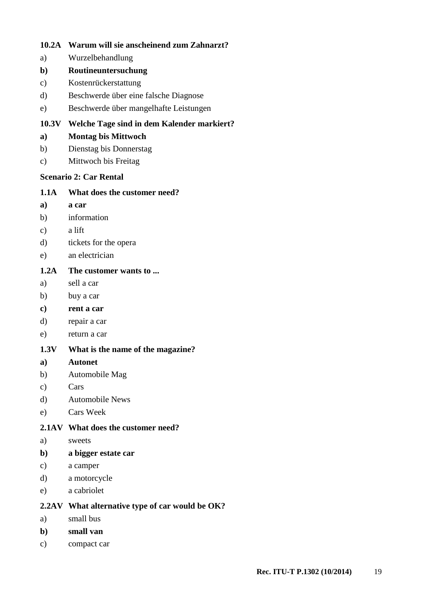## **10.2A Warum will sie anscheinend zum Zahnarzt?**

a) Wurzelbehandlung

## **b) Routineuntersuchung**

- c) Kostenrückerstattung
- d) Beschwerde über eine falsche Diagnose
- e) Beschwerde über mangelhafte Leistungen

## **10.3V Welche Tage sind in dem Kalender markiert?**

#### **a) Montag bis Mittwoch**

- b) Dienstag bis Donnerstag
- c) Mittwoch bis Freitag

## **Scenario 2: Car Rental**

## **1.1A What does the customer need?**

- **a) a car**
- b) information
- c) a lift
- d) tickets for the opera
- e) an electrician

#### **1.2A The customer wants to ...**

- a) sell a car
- b) buy a car
- **c) rent a car**
- d) repair a car
- e) return a car

#### **1.3V What is the name of the magazine?**

- **a) Autonet**
- b) Automobile Mag
- c) Cars
- d) Automobile News
- e) Cars Week

#### **2.1AV What does the customer need?**

- a) sweets
- **b) a bigger estate car**
- c) a camper
- d) a motorcycle
- e) a cabriolet

#### **2.2AV What alternative type of car would be OK?**

- a) small bus
- **b) small van**
- c) compact car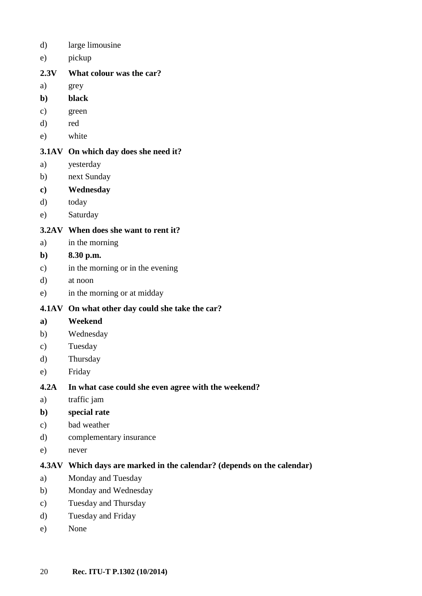- d) large limousine
- e) pickup

#### **2.3V What colour was the car?**

- a) grey
- **b) black**
- c) green
- d) red
- e) white

#### **3.1AV On which day does she need it?**

- a) yesterday
- b) next Sunday
- **c) Wednesday**
- d) today
- e) Saturday

## **3.2AV When does she want to rent it?**

- a) in the morning
- **b) 8.30 p.m.**
- c) in the morning or in the evening
- d) at noon
- e) in the morning or at midday

#### **4.1AV On what other day could she take the car?**

- **a) Weekend**
- b) Wednesday
- c) Tuesday
- d) Thursday
- e) Friday

#### **4.2A In what case could she even agree with the weekend?**

a) traffic jam

#### **b) special rate**

- c) bad weather
- d) complementary insurance
- e) never

#### **4.3AV Which days are marked in the calendar? (depends on the calendar)**

- a) Monday and Tuesday
- b) Monday and Wednesday
- c) Tuesday and Thursday
- d) Tuesday and Friday
- e) None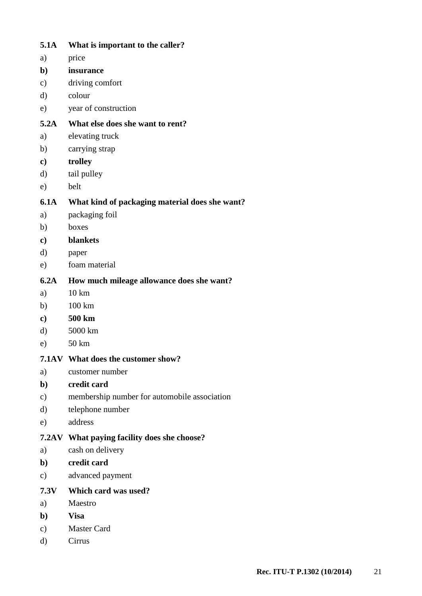## **5.1A What is important to the caller?**

- a) price
- **b) insurance**
- c) driving comfort
- d) colour
- e) year of construction

# **5.2A What else does she want to rent?**

- a) elevating truck
- b) carrying strap
- **c) trolley**
- d) tail pulley
- e) belt

## **6.1A What kind of packaging material does she want?**

- a) packaging foil
- b) boxes
- **c) blankets**
- d) paper
- e) foam material

## **6.2A How much mileage allowance does she want?**

- a) 10 km
- b) 100 km
- **c) 500 km**
- d) 5000 km
- e) 50 km

#### **7.1AV What does the customer show?**

- a) customer number
- **b) credit card**
- c) membership number for automobile association
- d) telephone number
- e) address

#### **7.2AV What paying facility does she choose?**

- a) cash on delivery
- **b) credit card**
- c) advanced payment

#### **7.3V Which card was used?**

- a) Maestro
- **b) Visa**
- c) Master Card
- d) Cirrus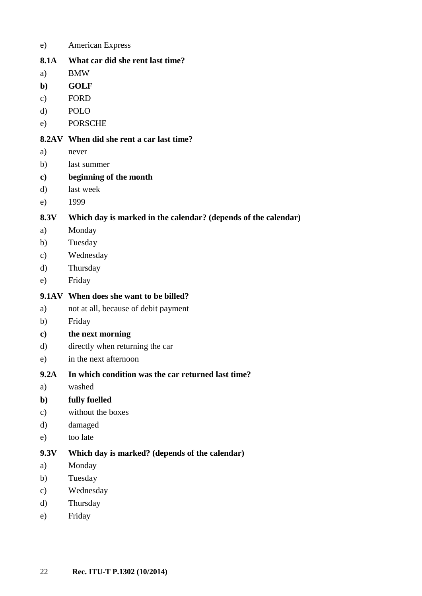e) American Express

#### **8.1A What car did she rent last time?**

- a) BMW
- **b) GOLF**
- c) FORD
- d) POLO
- e) PORSCHE

#### **8.2AV When did she rent a car last time?**

- a) never
- b) last summer
- **c) beginning of the month**
- d) last week
- e) 1999

#### **8.3V Which day is marked in the calendar? (depends of the calendar)**

- a) Monday
- b) Tuesday
- c) Wednesday
- d) Thursday
- e) Friday

#### **9.1AV When does she want to be billed?**

- a) not at all, because of debit payment
- b) Friday
- **c) the next morning**
- d) directly when returning the car
- e) in the next afternoon

#### **9.2A In which condition was the car returned last time?**

- a) washed
- **b) fully fuelled**
- c) without the boxes
- d) damaged
- e) too late

#### **9.3V Which day is marked? (depends of the calendar)**

- a) Monday
- b) Tuesday
- c) Wednesday
- d) Thursday
- e) Friday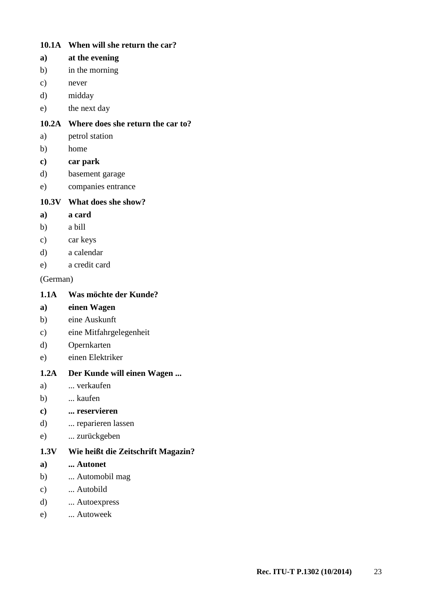## **10.1A When will she return the car?**

#### **a) at the evening**

- b) in the morning
- c) never
- d) midday
- e) the next day

#### **10.2A Where does she return the car to?**

- a) petrol station
- b) home
- **c) car park**
- d) basement garage
- e) companies entrance

#### **10.3V What does she show?**

- **a) a card**
- b) a bill
- c) car keys
- d) a calendar
- e) a credit card

#### (German)

#### **1.1A Was möchte der Kunde?**

- **a) einen Wagen**
- b) eine Auskunft
- c) eine Mitfahrgelegenheit
- d) Opernkarten
- e) einen Elektriker

#### **1.2A Der Kunde will einen Wagen ...**

- a) ... verkaufen
- b) ... kaufen
- **c) ... reservieren**
- d) ... reparieren lassen
- e) ... zurückgeben

#### **1.3V Wie heißt die Zeitschrift Magazin?**

- **a) ... Autonet**
- b) ... Automobil mag
- c) ... Autobild
- d) ... Autoexpress
- e) ... Autoweek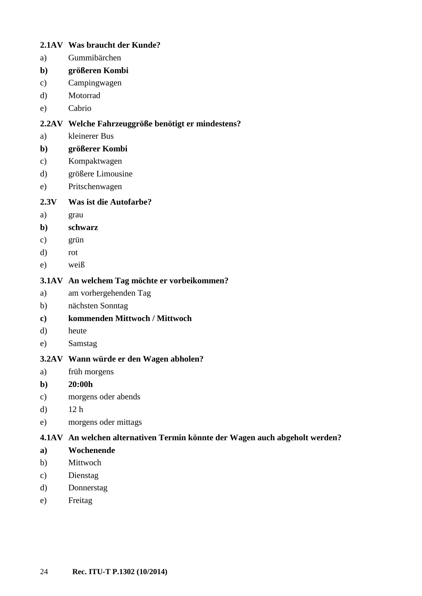## **2.1AV Was braucht der Kunde?**

- a) Gummibärchen
- **b) größeren Kombi**
- c) Campingwagen
- d) Motorrad
- e) Cabrio

#### **2.2AV Welche Fahrzeuggröße benötigt er mindestens?**

- a) kleinerer Bus
- **b) größerer Kombi**
- c) Kompaktwagen
- d) größere Limousine
- e) Pritschenwagen

#### **2.3V Was ist die Autofarbe?**

- a) grau
- **b) schwarz**
- c) grün
- d) rot
- e) weiß

#### **3.1AV An welchem Tag möchte er vorbeikommen?**

- a) am vorhergehenden Tag
- b) nächsten Sonntag
- **c) kommenden Mittwoch / Mittwoch**
- d) heute
- e) Samstag

#### **3.2AV Wann würde er den Wagen abholen?**

- a) früh morgens
- **b) 20:00h**
- c) morgens oder abends
- d) 12 h
- e) morgens oder mittags

#### **4.1AV An welchen alternativen Termin könnte der Wagen auch abgeholt werden?**

#### **a) Wochenende**

- b) Mittwoch
- c) Dienstag
- d) Donnerstag
- e) Freitag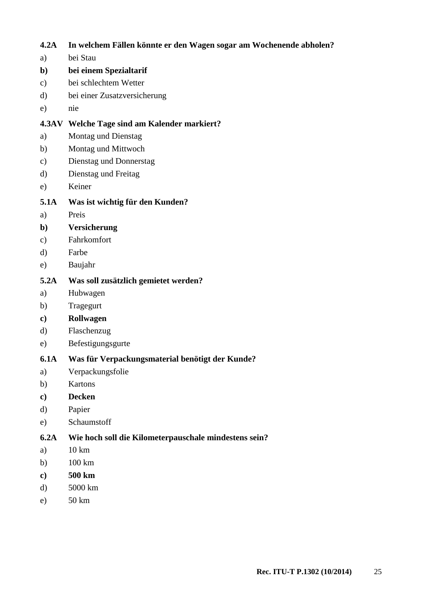| 4.2A In welchem Fällen könnte er den Wagen sogar am Wochenende abholen? |  |
|-------------------------------------------------------------------------|--|
|                                                                         |  |

| 4.2A          | In welchem Fällen könnte er den Wagen sogar am Woc    |
|---------------|-------------------------------------------------------|
| a)            | bei Stau                                              |
| $\mathbf{b}$  | bei einem Spezialtarif                                |
| $\mathbf{c})$ | bei schlechtem Wetter                                 |
| d)            | bei einer Zusatzversicherung                          |
| e)            | nie                                                   |
|               | 4.3AV Welche Tage sind am Kalender markiert?          |
| a)            | Montag und Dienstag                                   |
| b)            | Montag und Mittwoch                                   |
| $\mathbf{c})$ | Dienstag und Donnerstag                               |
| d)            | Dienstag und Freitag                                  |
| $\epsilon$    | Keiner                                                |
|               | 5.1A Was ist wichtig für den Kunden?                  |
| a)            | Preis                                                 |
| $\mathbf{b}$  | Versicherung                                          |
| $\mathbf{c})$ | Fahrkomfort                                           |
| d)            | Farbe                                                 |
| e)            | Baujahr                                               |
|               | 5.2A Was soll zusätzlich gemietet werden?             |
| a)            | Hubwagen                                              |
| b)            | Tragegurt                                             |
| $\bf c)$      | Rollwagen                                             |
| d)            | Flaschenzug                                           |
| e)            | Befestigungsgurte                                     |
| <b>6.1A</b>   | Was für Verpackungsmaterial benötigt der Kunde?       |
| a)            | Verpackungsfolie                                      |
| b)            | <b>Kartons</b>                                        |
| $\bf c)$      | <b>Decken</b>                                         |
| d)            | Papier                                                |
| e)            | Schaumstoff                                           |
| 6.2A          | Wie hoch soll die Kilometerpauschale mindestens sein? |
| a)            | $10 \mathrm{km}$                                      |
| b)            | 100 km                                                |
| $\mathbf{c})$ | 500 km                                                |
| d)            | 5000 km                                               |

e) 50 km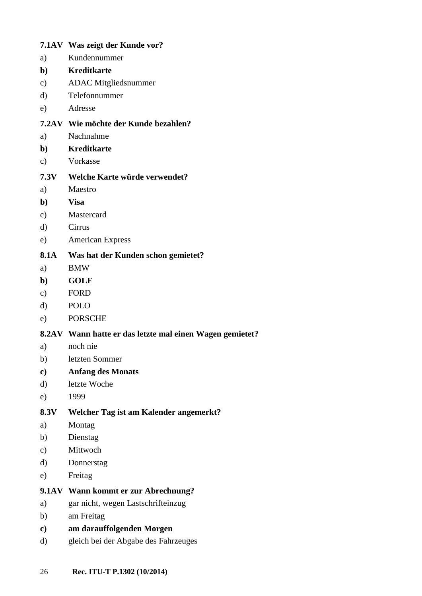|                | 7.1AV Was zeigt der Kunde vor?                           |
|----------------|----------------------------------------------------------|
| a)             | Kundennummer                                             |
| $\mathbf{b}$ ) | Kreditkarte                                              |
|                | c) ADAC Mitgliedsnummer                                  |
| $\rm d$        | Telefonnummer                                            |
|                | e) Adresse                                               |
|                | 7.2AV Wie möchte der Kunde bezahlen?                     |
| a)             | Nachnahme                                                |
| $\mathbf{b}$ ) | Kreditkarte                                              |
| c)             | Vorkasse                                                 |
|                | 7.3V Welche Karte würde verwendet?                       |
| a)             | Maestro                                                  |
| b) Visa        |                                                          |
|                | c) Mastercard                                            |
| d) Cirrus      |                                                          |
| (e)            | <b>American Express</b>                                  |
|                |                                                          |
|                | 8.1A Was hat der Kunden schon gemietet?                  |
| a)             | <b>BMW</b>                                               |
| $\mathbf{b}$ ) | <b>GOLF</b>                                              |
| c)             | FORD                                                     |
|                | d) POLO                                                  |
| e)             | <b>PORSCHE</b>                                           |
|                | 8.2AV Wann hatte er das letzte mal einen Wagen gemietet? |
| a)             | noch nie                                                 |
| b)             | letzten Sommer                                           |
| c)             | <b>Anfang des Monats</b>                                 |
| d)             | letzte Woche                                             |
| e)             | 1999                                                     |
| 8.3V           | Welcher Tag ist am Kalender angemerkt?                   |
| a)             | Montag                                                   |
| b)             | Dienstag                                                 |

- c) Mittwoch
- d) Donnerstag
- e) Freitag

# **9.1AV Wann kommt er zur Abrechnung?**

- a) gar nicht, wegen Lastschrifteinzug
- b) am Freitag
- **c) am darauffolgenden Morgen**
- d) gleich bei der Abgabe des Fahrzeuges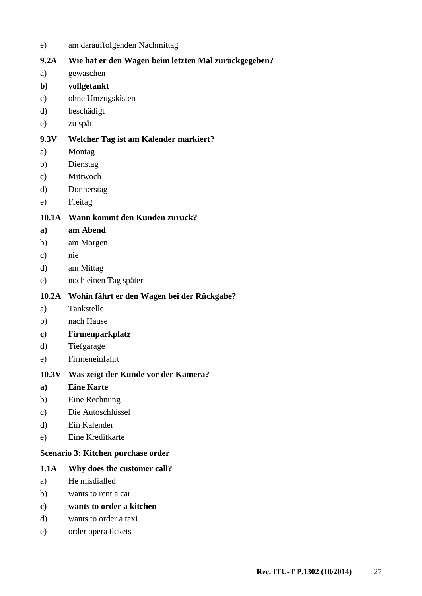e) am darauffolgenden Nachmittag

#### **9.2A Wie hat er den Wagen beim letzten Mal zurückgegeben?**

- a) gewaschen
- **b) vollgetankt**
- c) ohne Umzugskisten
- d) beschädigt
- e) zu spät

#### **9.3V Welcher Tag ist am Kalender markiert?**

- a) Montag
- b) Dienstag
- c) Mittwoch
- d) Donnerstag
- e) Freitag

#### **10.1A Wann kommt den Kunden zurück?**

#### **a) am Abend**

- b) am Morgen
- c) nie
- d) am Mittag
- e) noch einen Tag später

#### **10.2A Wohin fährt er den Wagen bei der Rückgabe?**

- a) Tankstelle
- b) nach Hause
- **c) Firmenparkplatz**
- d) Tiefgarage
- e) Firmeneinfahrt

#### **10.3V Was zeigt der Kunde vor der Kamera?**

- **a) Eine Karte**
- b) Eine Rechnung
- c) Die Autoschlüssel
- d) Ein Kalender
- e) Eine Kreditkarte

#### **Scenario 3: Kitchen purchase order**

#### **1.1A Why does the customer call?**

- a) He misdialled
- b) wants to rent a car
- **c) wants to order a kitchen**
- d) wants to order a taxi
- e) order opera tickets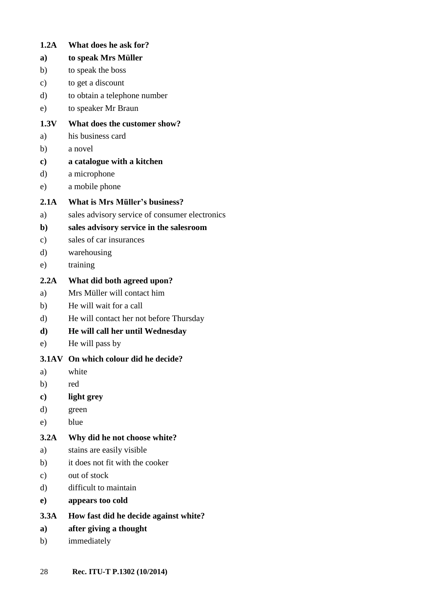| 1.2A          | What does he ask for?                          |
|---------------|------------------------------------------------|
| a)            | to speak Mrs Müller                            |
| b)            | to speak the boss                              |
| c)            | to get a discount                              |
| d)            | to obtain a telephone number                   |
| e)            | to speaker Mr Braun                            |
| 1.3V          | What does the customer show?                   |
| a)            | his business card                              |
| b)            | a novel                                        |
| c)            | a catalogue with a kitchen                     |
| d)            | a microphone                                   |
| e)            | a mobile phone                                 |
| 2.1A          | <b>What is Mrs Müller's business?</b>          |
| a)            | sales advisory service of consumer electronics |
| $\mathbf{b}$  | sales advisory service in the salesroom        |
| c)            | sales of car insurances                        |
| d)            | warehousing                                    |
| e)            | training                                       |
| 2.2A          | What did both agreed upon?                     |
| a)            | Mrs Müller will contact him                    |
| b)            | He will wait for a call                        |
| d)            | He will contact her not before Thursday        |
| d)            | He will call her until Wednesday               |
| e)            | He will pass by                                |
|               | 3.1AV On which colour did he decide?           |
| a)            | white                                          |
| b)            | red                                            |
| c)            | light grey                                     |
| d)            | green                                          |
| e)            | blue                                           |
| 3.2A          | Why did he not choose white?                   |
| a)            | stains are easily visible                      |
| b)            | it does not fit with the cooker                |
| $\mathbf{c})$ | out of stock                                   |
| d)            | difficult to maintain                          |
| $\mathbf{e})$ | appears too cold                               |
| 3.3A          | How fast did he decide against white?          |
| $\mathbf{a}$  | after giving a thought                         |
| b)            | immediately                                    |
|               |                                                |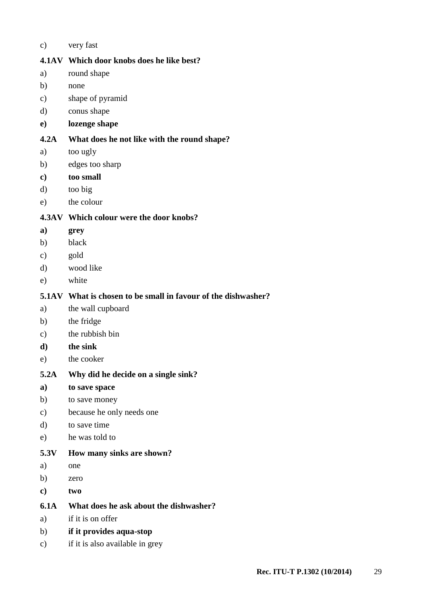#### c) very fast

#### **4.1AV Which door knobs does he like best?**

- a) round shape
- b) none
- c) shape of pyramid
- d) conus shape
- **e) lozenge shape**

#### **4.2A What does he not like with the round shape?**

- a) too ugly
- b) edges too sharp
- **c) too small**
- d) too big
- e) the colour

#### **4.3AV Which colour were the door knobs?**

- **a) grey**
- b) black
- c) gold
- d) wood like
- e) white

#### **5.1AV What is chosen to be small in favour of the dishwasher?**

- a) the wall cupboard
- b) the fridge
- c) the rubbish bin
- **d) the sink**
- e) the cooker

#### **5.2A Why did he decide on a single sink?**

#### **a) to save space**

- b) to save money
- c) because he only needs one
- d) to save time
- e) he was told to

#### **5.3V How many sinks are shown?**

- a) one
- b) zero
- **c) two**

#### **6.1A What does he ask about the dishwasher?**

- a) if it is on offer
- b) **if it provides aqua-stop**
- c) if it is also available in grey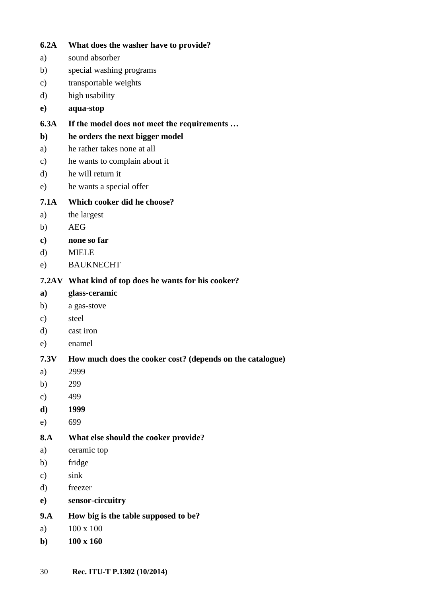| <b>6.2A</b> |  |  |  | What does the washer have to provide? |
|-------------|--|--|--|---------------------------------------|
|             |  |  |  |                                       |

- a) sound absorber
- b) special washing programs
- c) transportable weights
- d) high usability
- **e) aqua-stop**
- **6.3A If the model does not meet the requirements …**

#### **b) he orders the next bigger model**

- a) he rather takes none at all
- c) he wants to complain about it
- d) he will return it
- e) he wants a special offer

#### **7.1A Which cooker did he choose?**

- a) the largest
- b) AEG
- **c) none so far**
- d) MIELE
- e) BAUKNECHT

#### **7.2AV What kind of top does he wants for his cooker?**

- **a) glass-ceramic**
- b) a gas-stove
- c) steel
- d) cast iron
- e) enamel

#### **7.3V How much does the cooker cost? (depends on the catalogue)**

- a) 2999
- b) 299
- c) 499
- **d) 1999**
- e) 699

#### **8.A What else should the cooker provide?**

- a) ceramic top
- b) fridge
- c) sink
- d) freezer
- **e) sensor-circuitry**
- **9.A How big is the table supposed to be?**
- a) 100 x 100
- **b) 100 x 160**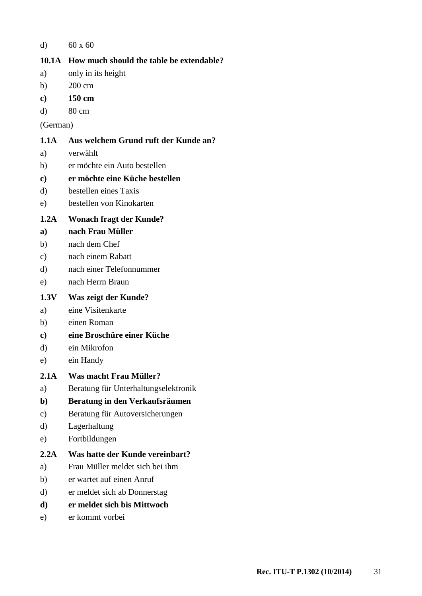#### d) 60 x 60

#### **10.1A How much should the table be extendable?**

- a) only in its height
- b) 200 cm
- **c) 150 cm**
- d) 80 cm

#### (German)

#### **1.1A Aus welchem Grund ruft der Kunde an?**

- a) verwählt
- b) er möchte ein Auto bestellen
- **c) er möchte eine Küche bestellen**
- d) bestellen eines Taxis
- e) bestellen von Kinokarten

#### **1.2A Wonach fragt der Kunde?**

#### **a) nach Frau Müller**

- b) nach dem Chef
- c) nach einem Rabatt
- d) nach einer Telefonnummer
- e) nach Herrn Braun

#### **1.3V Was zeigt der Kunde?**

- a) eine Visitenkarte
- b) einen Roman
- **c) eine Broschüre einer Küche**
- d) ein Mikrofon
- e) ein Handy

#### **2.1A Was macht Frau Müller?**

a) Beratung für Unterhaltungselektronik

#### **b) Beratung in den Verkaufsräumen**

- c) Beratung für Autoversicherungen
- d) Lagerhaltung
- e) Fortbildungen

#### **2.2A Was hatte der Kunde vereinbart?**

- a) Frau Müller meldet sich bei ihm
- b) er wartet auf einen Anruf
- d) er meldet sich ab Donnerstag
- **d) er meldet sich bis Mittwoch**
- e) er kommt vorbei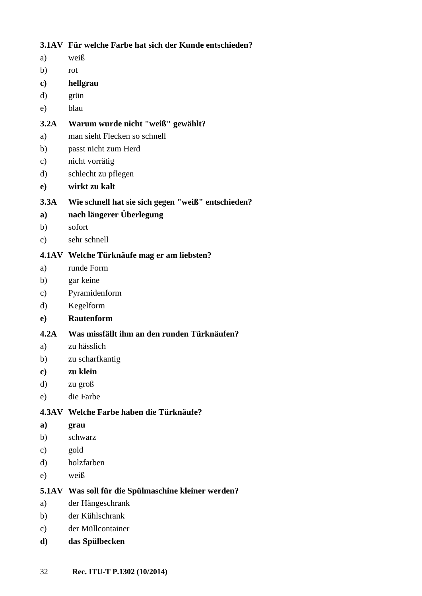# **3.1AV Für welche Farbe hat sich der Kunde entschieden?**

- a) weiß
- b) rot
- **c) hellgrau**
- d) grün
- e) blau

# **3.2A Warum wurde nicht "weiß" gewählt?**

- a) man sieht Flecken so schnell
- b) passt nicht zum Herd
- c) nicht vorrätig
- d) schlecht zu pflegen
- **e) wirkt zu kalt**

# **3.3A Wie schnell hat sie sich gegen "weiß" entschieden?**

# **a) nach längerer Überlegung**

- b) sofort
- c) sehr schnell

# **4.1AV Welche Türknäufe mag er am liebsten?**

- a) runde Form
- b) gar keine
- c) Pyramidenform
- d) Kegelform
- **e) Rautenform**

# **4.2A Was missfällt ihm an den runden Türknäufen?**

- a) zu hässlich
- b) zu scharfkantig
- **c) zu klein**
- d) zu groß
- e) die Farbe

# **4.3AV Welche Farbe haben die Türknäufe?**

- **a) grau**
- b) schwarz
- c) gold
- d) holzfarben
- e) weiß

# **5.1AV Was soll für die Spülmaschine kleiner werden?**

- a) der Hängeschrank
- b) der Kühlschrank
- c) der Müllcontainer
- **d) das Spülbecken**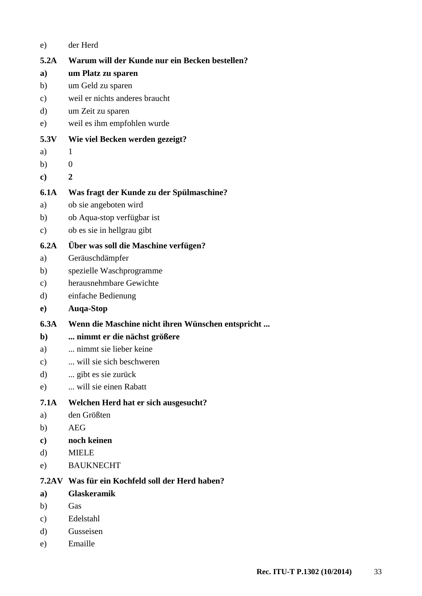| e)            | der Herd                                          |
|---------------|---------------------------------------------------|
| 5.2A          | Warum will der Kunde nur ein Becken bestellen?    |
| a)            | um Platz zu sparen                                |
| b)            | um Geld zu sparen                                 |
| $\mathbf{c})$ | weil er nichts anderes braucht                    |
| d)            | um Zeit zu sparen                                 |
| e)            | weil es ihm empfohlen wurde                       |
| 5.3V          | Wie viel Becken werden gezeigt?                   |
| a)            | 1                                                 |
| b)            | $\overline{0}$                                    |
| c)            | $\overline{2}$                                    |
| <b>6.1A</b>   | Was fragt der Kunde zu der Spülmaschine?          |
| a)            | ob sie angeboten wird                             |
| b)            | ob Aqua-stop verfügbar ist                        |
| $\mathbf{c})$ | ob es sie in hellgrau gibt                        |
| 6.2A          | Über was soll die Maschine verfügen?              |
| a)            | Geräuschdämpfer                                   |
| b)            | spezielle Waschprogramme                          |
| c)            | herausnehmbare Gewichte                           |
| d)            | einfache Bedienung                                |
| $\bf e)$      | <b>Auqa-Stop</b>                                  |
| <b>6.3A</b>   | Wenn die Maschine nicht ihren Wünschen entspricht |
| b)            | nimmt er die nächst größere                       |
| a)            | nimmt sie lieber keine                            |
| c)            | will sie sich beschweren                          |
| $\rm d$       | gibt es sie zurück                                |
| e)            | will sie einen Rabatt                             |
|               | 7.1A Welchen Herd hat er sich ausgesucht?         |
| a)            | den Größten                                       |
| b)            | AEG                                               |
| c)            | noch keinen                                       |
| d)            | <b>MIELE</b>                                      |
| e)            | <b>BAUKNECHT</b>                                  |
|               | 7.2AV Was für ein Kochfeld soll der Herd haben?   |
| a)            | <b>Glaskeramik</b>                                |
| b)            | Gas                                               |
| $\mathbf{c})$ | Edelstahl                                         |
| d)            | Gusseisen                                         |
| e)            | Emaille                                           |
|               |                                                   |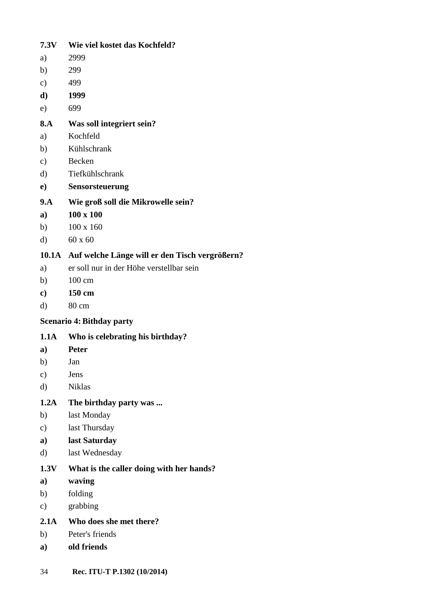# **7.3V Wie viel kostet das Kochfeld?**

- a) 2999
- b) 299
- c) 499
- **d) 1999**
- e) 699

# **8.A Was soll integriert sein?**

- a) Kochfeld
- b) Kühlschrank
- c) Becken
- d) Tiefkühlschrank
- **e) Sensorsteuerung**

# **9.A Wie groß soll die Mikrowelle sein?**

- **a) 100 x 100**
- b) 100 x 160
- d) 60 x 60

# **10.1A Auf welche Länge will er den Tisch vergrößern?**

- a) er soll nur in der Höhe verstellbar sein
- b) 100 cm
- **c) 150 cm**
- d) 80 cm

# **Scenario 4:Bithday party**

# **1.1A Who is celebrating his birthday?**

- **a) Peter**
- b) Jan
- c) Jens
- d) Niklas

# **1.2A The birthday party was ...**

- b) last Monday
- c) last Thursday
- **a) last Saturday**
- d) last Wednesday

# **1.3V What is the caller doing with her hands?**

- **a) waving**
- b) folding
- c) grabbing

# **2.1A Who does she met there?**

- b) Peter's friends
- **a) old friends**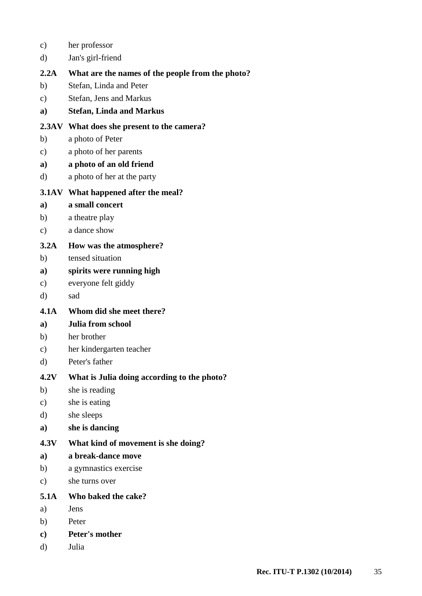| $\mathbf{c})$ | her professor                                    |
|---------------|--------------------------------------------------|
| d)            | Jan's girl-friend                                |
| 2.2A          | What are the names of the people from the photo? |
| b)            | Stefan, Linda and Peter                          |
| c)            | Stefan, Jens and Markus                          |
| a)            | <b>Stefan, Linda and Markus</b>                  |
|               | 2.3AV What does she present to the camera?       |
| b)            | a photo of Peter                                 |
| c)            | a photo of her parents                           |
| a)            | a photo of an old friend                         |
| d)            | a photo of her at the party                      |
|               | 3.1AV What happened after the meal?              |
| a)            | a small concert                                  |
| b)            | a theatre play                                   |
| c)            | a dance show                                     |
| 3.2A          | How was the atmosphere?                          |
| b)            | tensed situation                                 |
| a)            | spirits were running high                        |
| c)            | everyone felt giddy                              |
| d)            | sad                                              |
| 4.1A          | Whom did she meet there?                         |
| a)            | Julia from school                                |
| b)            | her brother                                      |
| $\mathbf{c})$ | her kindergarten teacher                         |
| d)            | Peter's father                                   |
| 4.2V          | What is Julia doing according to the photo?      |
| b)            | she is reading                                   |
| c)            | she is eating                                    |
| d)            | she sleeps                                       |
| a)            | she is dancing                                   |
| 4.3V          | What kind of movement is she doing?              |
| a)            | a break-dance move                               |
| b)            | a gymnastics exercise                            |
| c)            | she turns over                                   |
| 5.1A          | Who baked the cake?                              |
| a)            | Jens                                             |
| b)            | Peter                                            |
| $\mathbf{c})$ | Peter's mother                                   |
| d)            | Julia                                            |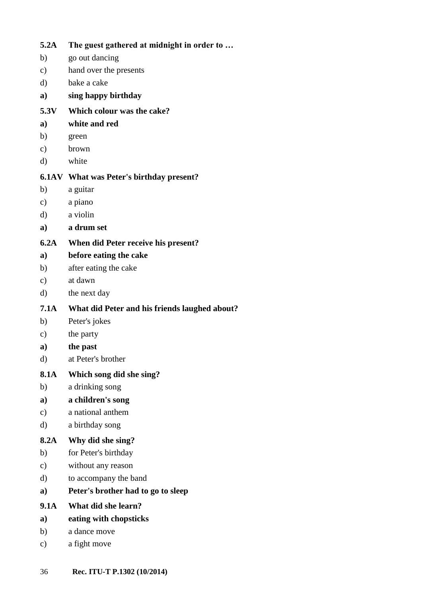| 5.2A          | The guest gathered at midnight in order to    |
|---------------|-----------------------------------------------|
| b)            | go out dancing                                |
| $\mathbf{c})$ | hand over the presents                        |
| d)            | bake a cake                                   |
| a)            | sing happy birthday                           |
| 5.3V          | Which colour was the cake?                    |
| a)            | white and red                                 |
| b)            | green                                         |
| $\mathbf{c})$ | brown                                         |
| d)            | white                                         |
|               | 6.1AV What was Peter's birthday present?      |
| b)            | a guitar                                      |
| $\mathbf{c})$ | a piano                                       |
| d)            | a violin                                      |
| a)            | a drum set                                    |
| 6.2A          | When did Peter receive his present?           |
| $\mathbf{a}$  | before eating the cake                        |
| b)            | after eating the cake                         |
| $\mathbf{c})$ | at dawn                                       |
| d)            | the next day                                  |
| 7.1A          | What did Peter and his friends laughed about? |
|               | Peter's jokes                                 |
| b)            |                                               |
| $\mathbf{c})$ | the party                                     |
| a)            | the past                                      |
| d)            | at Peter's brother                            |
| <b>8.1A</b>   | Which song did she sing?                      |
| b)            | a drinking song                               |
| a)            | a children's song                             |
| c)            | a national anthem                             |
| d)            | a birthday song                               |
| <b>8.2A</b>   | Why did she sing?                             |
| b)            | for Peter's birthday                          |
| $\mathbf{c})$ | without any reason                            |
| d)            | to accompany the band                         |
| a)            | Peter's brother had to go to sleep            |
| 9.1A          | What did she learn?                           |
| $\mathbf{a}$  | eating with chopsticks                        |
| b)            | a dance move                                  |
| c)            | a fight move                                  |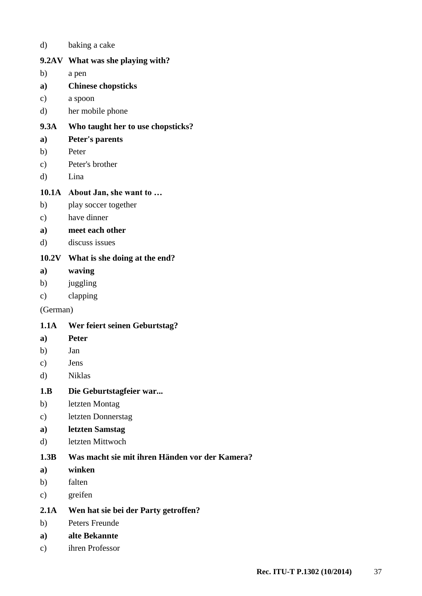d) baking a cake

#### **9.2AV What was she playing with?**

- b) a pen
- **a) Chinese chopsticks**
- c) a spoon
- d) her mobile phone

#### **9.3A Who taught her to use chopsticks?**

#### **a) Peter's parents**

- b) Peter
- c) Peter's brother
- d) Lina

#### **10.1A About Jan, she want to …**

- b) play soccer together
- c) have dinner
- **a) meet each other**
- d) discuss issues

#### **10.2V What is she doing at the end?**

- **a) waving**
- b) juggling
- c) clapping

#### (German)

#### **1.1A Wer feiert seinen Geburtstag?**

- **a) Peter**
- b) Jan
- c) Jens
- d) Niklas
- **1.B Die Geburtstagfeier war...**
- b) letzten Montag
- c) letzten Donnerstag
- **a) letzten Samstag**
- d) letzten Mittwoch

#### **1.3B Was macht sie mit ihren Händen vor der Kamera?**

- **a) winken**
- b) falten
- c) greifen

#### **2.1A Wen hat sie bei der Party getroffen?**

- b) Peters Freunde
- **a) alte Bekannte**
- c) ihren Professor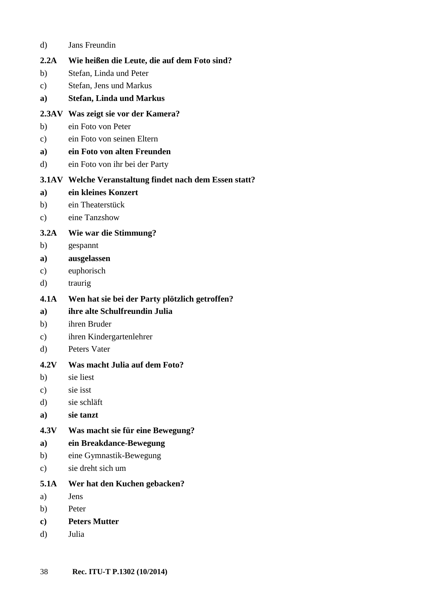# **2.2A Wie heißen die Leute, die auf dem Foto sind?** b) Stefan, Linda und Peter c) Stefan, Jens und Markus **a) Stefan, Linda und Markus 2.3AV Was zeigt sie vor der Kamera?** b) ein Foto von Peter c) ein Foto von seinen Eltern **a) ein Foto von alten Freunden** d) ein Foto von ihr bei der Party **3.1AV Welche Veranstaltung findet nach dem Essen statt? a) ein kleines Konzert** b) ein Theaterstück c) eine Tanzshow **3.2A Wie war die Stimmung?** b) gespannt

d) Jans Freundin

- **a) ausgelassen**
- c) euphorisch
- d) traurig
- **4.1A Wen hat sie bei der Party plötzlich getroffen?**

#### **a) ihre alte Schulfreundin Julia**

- b) ihren Bruder
- c) ihren Kindergartenlehrer
- d) Peters Vater

#### **4.2V Was macht Julia auf dem Foto?**

- b) sie liest
- c) sie isst
- d) sie schläft
- **a) sie tanzt**

#### **4.3V Was macht sie für eine Bewegung?**

#### **a) ein Breakdance-Bewegung**

- b) eine Gymnastik-Bewegung
- c) sie dreht sich um
- **5.1A Wer hat den Kuchen gebacken?**
- a) Jens
- b) Peter
- **c) Peters Mutter**
- d) Julia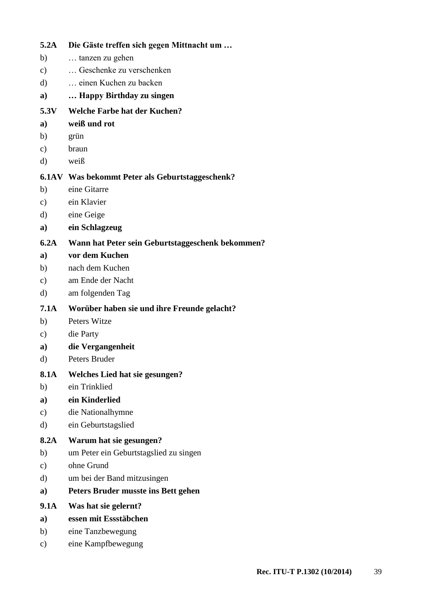## **5.2A Die Gäste treffen sich gegen Mittnacht um …**

- b) … tanzen zu gehen
- c) … Geschenke zu verschenken
- d) … einen Kuchen zu backen
- **a) … Happy Birthday zu singen**

## **5.3V Welche Farbe hat der Kuchen?**

# **a) weiß und rot**

- b) grün
- c) braun
- d) weiß

## **6.1AV Was bekommt Peter als Geburtstaggeschenk?**

- b) eine Gitarre
- c) ein Klavier
- d) eine Geige
- **a) ein Schlagzeug**

## **6.2A Wann hat Peter sein Geburtstaggeschenk bekommen?**

#### **a) vor dem Kuchen**

- b) nach dem Kuchen
- c) am Ende der Nacht
- d) am folgenden Tag

#### **7.1A Worüber haben sie und ihre Freunde gelacht?**

- b) Peters Witze
- c) die Party
- **a) die Vergangenheit**
- d) Peters Bruder

#### **8.1A Welches Lied hat sie gesungen?**

b) ein Trinklied

# **a) ein Kinderlied**

- c) die Nationalhymne
- d) ein Geburtstagslied

#### **8.2A Warum hat sie gesungen?**

- b) um Peter ein Geburtstagslied zu singen
- c) ohne Grund
- d) um bei der Band mitzusingen
- **a) Peters Bruder musste ins Bett gehen**

#### **9.1A Was hat sie gelernt?**

- **a) essen mit Essstäbchen**
- b) eine Tanzbewegung
- c) eine Kampfbewegung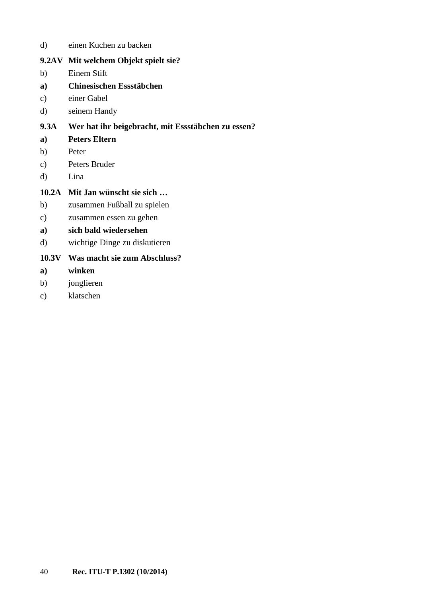d) einen Kuchen zu backen

# **9.2AV Mit welchem Objekt spielt sie?**

- b) Einem Stift
- **a) Chinesischen Essstäbchen**
- c) einer Gabel
- d) seinem Handy

#### **9.3A Wer hat ihr beigebracht, mit Essstäbchen zu essen?**

- **a) Peters Eltern**
- b) Peter
- c) Peters Bruder
- d) Lina

## **10.2A Mit Jan wünscht sie sich …**

- b) zusammen Fußball zu spielen
- c) zusammen essen zu gehen
- **a) sich bald wiedersehen**
- d) wichtige Dinge zu diskutieren

#### **10.3V Was macht sie zum Abschluss?**

- **a) winken**
- b) jonglieren
- c) klatschen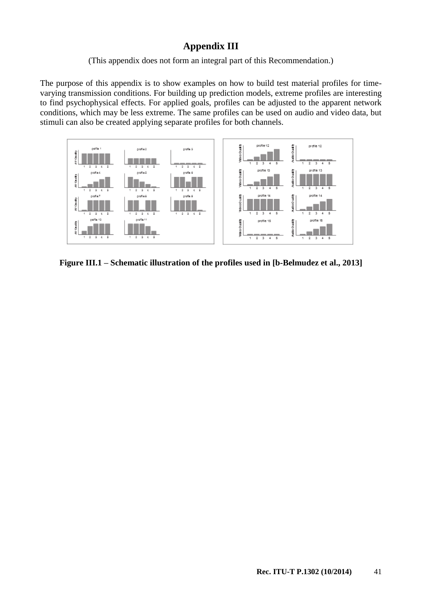# **Appendix III**

(This appendix does not form an integral part of this Recommendation.)

The purpose of this appendix is to show examples on how to build test material profiles for timevarying transmission conditions. For building up prediction models, extreme profiles are interesting to find psychophysical effects. For applied goals, profiles can be adjusted to the apparent network conditions, which may be less extreme. The same profiles can be used on audio and video data, but stimuli can also be created applying separate profiles for both channels.



**Figure III.1 – Schematic illustration of the profiles used in [b-Belmudez et al., 2013]**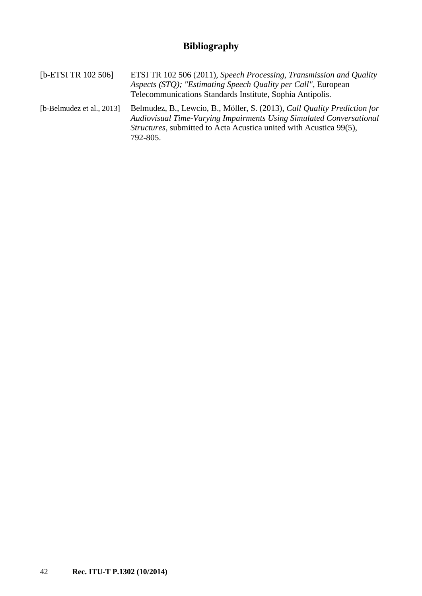# **Bibliography**

| [b-ETSI TR 102 506]          | ETSI TR 102 506 (2011), Speech Processing, Transmission and Quality<br>Aspects (STQ); "Estimating Speech Quality per Call", European<br>Telecommunications Standards Institute, Sophia Antipolis.                                         |
|------------------------------|-------------------------------------------------------------------------------------------------------------------------------------------------------------------------------------------------------------------------------------------|
| [b-Belmudez et al., $2013$ ] | Belmudez, B., Lewcio, B., Möller, S. (2013), Call Quality Prediction for<br>Audiovisual Time-Varying Impairments Using Simulated Conversational<br><i>Structures</i> , submitted to Acta Acustica united with Acustica 99(5),<br>792-805. |